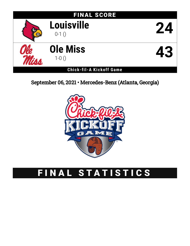

September 06, 2021 • Mercedes-Benz (Atlanta, Georgia)



# FINAL STATISTICS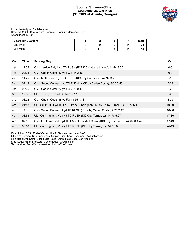# **Scoring Summary(Final) Louisville vs. Ole Miss (9/6/2021 at Atlanta, Georgia)**



Louisville (0-1) vs. Ole Miss (1-0) Date: 9/6/2021 • Site: Atlanta, Georgia • Stadium: Mercedes-Benz Attendance: 30709

| <b>Score by Quarters</b> |   |                          |    |    | Total |
|--------------------------|---|--------------------------|----|----|-------|
| Louisville               |   |                          | 10 | 14 |       |
| Ole Miss                 | ◡ | $\overline{\phantom{a}}$ |    | 14 | 4.    |

| Qtr | Time  | <b>Scoring Play</b>                                                              | V-H       |
|-----|-------|----------------------------------------------------------------------------------|-----------|
| 1st | 11:55 | OM - Jerrion Ealy 1 yd TD RUSH (PAT KICK attempt failed), 11-94 3:05             | $0 - 6$   |
| 1st | 02:25 | OM - Caden Costa 47 yd FG 7-44 2:46                                              | $0 - 9$   |
| 2nd | 11:25 | OM - Matt Corral 6 yd TD RUSH (KICK by Caden Costa), 9-93 2:30                   | $0 - 16$  |
| 2nd | 07:12 | OM - Snoop Conner 1 yd TD RUSH (KICK by Caden Costa), 3-35 0:55                  | $0 - 23$  |
| 2nd | 00:00 | OM - Caden Costa 22 yd FG 7-70 0:44                                              | $0 - 26$  |
| 3rd | 12:35 | UL - Turner, J. 38 yd FG 5-21 2:17                                               | $3 - 26$  |
| 3rd | 08:22 | OM - Caden Costa 38 yd FG 13-55 4:13                                             | $3 - 29$  |
| 3rd | 01:58 | UL - Smith, B. 4 yd TD PASS from Cunningham, M. (KICK by Turner, J.), 13-70 6:17 | $10 - 29$ |
| 4th | 14:11 | OM - Snoop Conner 11 yd TD RUSH (KICK by Caden Costa), 7-75 2:47                 | 10-36     |
| 4th | 08:58 | UL - Cunningham, M. 1 yd TD RUSH (KICK by Turner, J.), 14-70 5:07                | $17 - 36$ |
| 4th | 07:11 | OM - D. Drummond 6 yd TD PASS from Matt Corral (KICK by Caden Costa), 6-60 1:47  | 17-43     |
| 4th | 03:58 | UL - Cunningham, M. 9 yd TD RUSH (KICK by Turner, J.), 9-78 3:06                 | 24-43     |
|     |       |                                                                                  |           |

Kickoff time: 8:05 • End of Game: 11:45 • Total elapsed time: 3:40

Officials: Referee: Ron Snodgrass; Umpire: Jim Shaw; Linesman: Ric Hinkamper;

Line judge: Jeff Szink; Back judge: Jake Kemp; Field judge: Jeff Noggle;

Side judge: Frank Steratore; Center judge: Greg Nelson;

Temperature: 78 • Wind: • Weather: Indoor/Roof open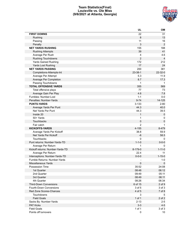# **Team Statistics(Final) Louisville vs. Ole Miss (9/6/2021 at Atlanta, Georgia)**



|                                  | UL             | OM               |
|----------------------------------|----------------|------------------|
| <b>FIRST DOWNS</b>               | 22             | 31               |
| Rushing                          | 8              | 13               |
| Passing                          | 11             | 16               |
| Penalty                          | 3              | $\boldsymbol{2}$ |
| <b>NET YARDS RUSHING</b>         | 155            | 188              |
| <b>Rushing Attempts</b>          | 39             | 41               |
| Average Per Rush                 | 4              | 4.6              |
| Rushing Touchdowns               | $\overline{2}$ | $\overline{4}$   |
| Yards Gained Rushing             | 172            | 212              |
| Yards Lost Rushing               | 17             | 24               |
| <b>NET YARDS PASSING</b>         | 200            | 381              |
| Completions-Attempts-Int         | $23 - 38 - 1$  | 22-32-0          |
| Average Per Attempt              | 5.3            | 11.9             |
| Average Per Completion           | 8.7            | 17.3             |
| Passing Touchdowns               | $\mathbf{1}$   | $\mathbf 1$      |
| <b>TOTAL OFFENSIVE YARDS</b>     | 355            | 569              |
| Total offensive plays            | 77             | 73               |
| Average Gain Per Play            | 4.6            | 7.8              |
| Fumbles: Number-Lost             | $1 - 1$        | $0-0$            |
| Penalties: Number-Yards          | $9 - 74$       | 14-125           |
| <b>PUNTS-YARDS</b>               | $3 - 133$      | $2 - 80$         |
| Average Yards Per Punt           | 44.3           | 40.0             |
| Net Yards Per Punt               | 44.3           | 39.5             |
| Inside 20                        | $\mathbf{1}$   | $\pmb{0}$        |
| 50+ Yards                        | $\mathbf{1}$   | 0                |
| Touchbacks                       | 0              | $\mathbf 0$      |
| Fair catch                       | $\overline{2}$ | 1                |
| <b>KICKOFFS-YARDS</b>            | 4-155          | 8-479            |
| Average Yards Per Kickoff        | 38.8           | 59.9             |
| Net Yards Per Kickoff            | -6             | 58.5             |
| Touchbacks                       | 0              | 0                |
| Punt returns: Number-Yards-TD    | $1 - 1 - 0$    | $0 - 0 - 0$      |
| Average Per Return               | $\mathbf 1$    | 0                |
| Kickoff returns: Number-Yards-TD | 8-179-0        | $1 - 11 - 0$     |
| Average Per Return               | 22.4           | 11               |
| Interceptions: Number-Yards-TD   | $0 - 0 - 0$    | $1 - 15 - 0$     |
| Fumble Returns: Number-Yards     |                | $1 - 0$          |
| <b>Miscellaneous Yards</b>       | 0              | $\mathbf 0$      |
| Possession Time                  | 35:52          | 24:08            |
| 1st Quarter                      | 08:48          | 06:12            |
| 2nd Quarter                      | 09:49          | 05:11            |
| 3rd Quarter                      | 08:49          | 06:11            |
| 4th Quarter                      | 08:26          | 06:34            |
| <b>Third-Down Conversions</b>    | 6 of 15        | $2$ of $9$       |
| Fourth-Down Conversions          | 3 of 5         | 3 of 3           |
| Red Zone Scores-Chances          | 4 of 5         | 7 of 8           |
| Touchdowns                       | 3              | 5                |
| <b>Field Goals</b>               | 1 of 1         | 2 of 2           |
| Sacks By: Number-Yards           | $2 - 13$       | $2 - 5$          |
| <b>PAT Kicks</b>                 | $3-3$          | $4 - 5$          |
| <b>Field Goals</b>               | 1 of 1         | 3 of 3           |
| Points off turnovers             | 0              | 10               |
|                                  |                |                  |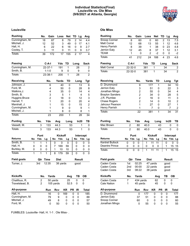# **Individual Statistics(Final) Louisville vs. Ole Miss (9/6/2021 at Atlanta, Georgia)**



# **Louisville Ole Miss**

| <b>Rushing</b>               |        |        | No.           | Gain           |        | Loss        | <b>Net</b> | TD |           | Lg   | Avg         |                |
|------------------------------|--------|--------|---------------|----------------|--------|-------------|------------|----|-----------|------|-------------|----------------|
| Cunningham, M.               |        |        | 18            | 87             |        | 8           | 79         | 2  |           | 14   |             | 4.4            |
| Mitchell, J.                 |        |        | 12            | 52             |        | 3           | 49         | 0  |           | 17   |             | 4.1            |
| Hall, H.                     |        |        | 6             | 22             |        | 6           | 16         | 0  |           | 9    |             | 2.7            |
| Cooley, T.                   |        |        | 3             | 11             |        | 0           | 11         | 0  |           | 9    |             | 3.7            |
| <b>Totals</b>                |        |        | 39            | 172            |        | 17          | 155        | 2  |           | 17   |             | 4              |
|                              |        |        |               |                |        |             |            |    |           |      |             |                |
| <b>Passing</b>               |        |        | $C-A-I$       |                |        | Yds         | TD         |    | Long      |      | <b>Sack</b> |                |
| Cunningham, M.               |        |        | $22 - 37 - 1$ |                |        | 191         | 1          |    | 28        |      |             | 2              |
| Smith, B.                    |        |        |               | $1 - 1 - 0$    |        | 9           | 0          |    | 9         |      |             | 0              |
| <b>Totals</b>                |        |        | 23-38-1       |                |        | 200         | 1          |    | 28        |      |             | $\overline{2}$ |
| <b>Receiving</b>             |        |        |               | No.            |        | Yards       | <b>TD</b>  |    | Long      |      |             | <b>Tgt</b>     |
| Johnson, J.                  |        |        |               | 6              |        | 40          | 0          |    |           | 13   |             | 6              |
| Ford, M.                     |        |        |               | 4              |        | 50          | 0          |    |           | 28   |             | 8              |
| Watkins, J.                  |        |        |               | 4              |        | 35          | 0          |    |           | 14   |             | 4              |
| Smith, B.                    |        |        |               | 3              |        | 5           | 1          |    |           | 4    |             | 5              |
| Huggins-Bruce                |        |        |               | $\overline{2}$ |        | 18          | 0          |    |           | 12   |             | 3              |
| Harrell, T.                  |        |        |               | 1              |        | 20          | 0          |    |           | 20   |             | 4              |
| Marshall, J.                 |        |        |               | 1              |        | 15          | 0          |    |           | 15   |             | $\overline{2}$ |
| Cunningham, M.               |        |        |               | 1              |        | 9           | 0          |    |           | 9    |             | 1              |
| Mitchell, J.                 |        |        |               | 1              |        | 8           | 0          |    |           | 8    |             | 1              |
|                              |        |        |               |                |        |             |            |    |           |      |             |                |
| <b>Totals</b>                |        |        |               | 23             |        | 200         | 1          |    |           | 28   |             | 34             |
| <b>Punting</b>               |        | No.    |               | Yds            |        | Avg         | Long       |    |           | In20 |             | TВ             |
| Vassett, M.                  |        | 3      |               | 133            |        | 44.3        | 53         |    |           | 1    |             | 0              |
| <b>Totals</b>                |        | 3      |               | 133            |        | 44.3        | 53         |    |           | 1    |             | 0              |
|                              |        | Punt   |               |                |        | Kickoff     |            |    | Intercept |      |             |                |
|                              |        |        | Lg            |                | No     | Yds         | Lg         |    |           |      |             | Lg             |
| <b>Returns</b>               | No     | Yds    |               |                |        |             |            | No |           | Yds  |             |                |
|                              | 1      | 1      | 1             |                |        |             | 0          |    |           |      |             |                |
| Smith, B.                    |        |        |               |                | 0      | 0           |            |    | 0         |      | 0           | 0              |
| Hall, H.                     | 0      | 0      | 0             |                | 7      | 169         | 59         |    | 0<br>0    |      | 0           | 0              |
| Burkley, M.<br><b>Totals</b> | 0<br>1 | 0<br>1 | 0<br>1        |                | 1<br>8 | 10<br>179   | 10<br>59   |    | 0         |      | 0<br>0      | 0<br>0         |
|                              |        |        |               |                |        |             |            |    |           |      |             |                |
| <b>Field goals</b>           |        | Qtr    | <b>Time</b>   |                |        | <b>Dist</b> |            |    | Result    |      |             |                |
| Turner, J.                   |        | 3rd    | 12:35         |                |        | 38 yards    |            |    | good      |      |             |                |
|                              |        |        |               |                |        |             |            |    |           |      |             |                |
| <b>Kickoffs</b>              |        | No.    |               | Yards          |        |             | Avg        |    | TВ        |      | ОB          |                |
| Chalifoux, R.                |        | 2      |               | 50 yards       |        |             | 25         |    | 0         |      | 0           |                |
| Travelstead, B.              |        | 2      |               | 105 yards      |        |             | 52.5       |    | 0         |      | 0           |                |
| All-purpose                  |        |        |               | Run            | Rcv    |             | KR         | PR | IR        |      | Total       |                |
| Hall, H.                     |        |        |               | 16             |        | 0           | 169        | 0  | 0         |      |             | 185            |
| Cunningham, M.               |        |        |               | 79             |        | 9           | 0          | 0  | 0         |      |             | 88             |
| Mitchell, J.                 |        |        |               | 49             |        | 8           | 0          | 0  | 0         |      |             | 57             |

| Rushing                        | No.            | Gain                    | Loss         | <b>Net</b>   | TD        |                | Lg             | Avg                     |
|--------------------------------|----------------|-------------------------|--------------|--------------|-----------|----------------|----------------|-------------------------|
| Snoop Conner                   | 8              | 60                      |              | 60<br>0      |           | $\overline{2}$ | 13             | 7.5                     |
| Matt Corral                    | 12             | 68                      | 13           | 55           |           | 1              | 12             | 4.6                     |
| Henry Parrish                  | 8              | 39                      |              | 38<br>1      |           | 0              | 23             | 4.8                     |
| Jerrion Ealy                   | 12             | 45                      |              | 8<br>37      |           | 1              | 12             | 3.1                     |
| TEAM                           | 1              | 0                       | 2            | $-2$         |           | 0              | 0              | -2                      |
| <b>Totals</b>                  | 41             | 212                     | 24           | 188          |           | 4              | 23             | 4.6                     |
| Passing                        | C-A-I          |                         | Yds          | TD           |           | Long           |                | Sack                    |
| Matt Corral                    | 22-32-0        |                         | 381          | 1            |           | 34             |                | $\overline{\mathbf{c}}$ |
| Totals                         | 22-32-0        |                         | 381          | $\mathbf{1}$ |           | 34             |                | $\overline{2}$          |
| Receiving                      |                | No.                     | Yards        | TD           |           | Long           |                | Tgt                     |
| D. Drummond                    |                | 9                       |              | 177          | 1         |                | 34             | 10                      |
| Jerrion Ealy                   |                | 3                       |              | 51           | 0         |                | 22             | 3                       |
| Jonathan Mingo                 |                | $\overline{\mathbf{c}}$ |              | 55           | 0         |                | 34             | 4                       |
| <b>Braylon Sanders</b>         |                | $\overline{c}$          |              | 34           | 0         |                | 28             | 5                       |
| J.R. Plumlee                   |                | $\overline{c}$          |              | 16           | 0         |                | 11             | 3                       |
| <b>Chase Rogers</b>            |                | $\overline{c}$          |              | 14           | 0         |                | 10             | $\overline{\mathbf{c}}$ |
| Jahcour Pearson                |                | 1                       |              | 27           | 0         |                | 27             | 1                       |
| Henry Parrish                  |                | 1                       |              | 7            | 0         |                | $\overline{7}$ | $\boldsymbol{2}$        |
| Totals                         |                | 22                      |              | 381          | 1         |                | 34             | 31                      |
| Punting                        | No.            | Yds                     | Avg          |              |           |                | In20           | TB                      |
| Mac Brown                      |                |                         |              | Long         |           |                |                |                         |
|                                | 2              | 80                      | 40.0         |              | 43        |                | 0              | 0                       |
| Totals                         | $\overline{2}$ | 80                      | 40.0         |              | 43        |                | 0              | 0                       |
|                                |                | Punt                    |              | Kickoff      |           |                | Intercept      |                         |
| Returns                        | No<br>Yds      | Lg                      | No           | Yds<br>Lg    |           | No             |                | Yds Lg                  |
| <b>Kentrel Bullock</b>         | 0              | 0<br>0                  | 1            | 11<br>11     |           | 0              |                | 0<br>0                  |
| Deantre Prince                 | 0              | 0<br>0                  | 0            | 0            | 0         | 1              | 15             | 15                      |
| Totals                         | 0              | 0<br>0                  | $\mathbf{1}$ | 11<br>11     |           | 1              | 15             | 15                      |
|                                |                |                         |              |              |           |                |                |                         |
| <b>Field goals</b>             | Qtr            | Time                    | <b>Dist</b>  |              |           |                | Result         |                         |
| Caden Costa                    | 1st            | 02:25                   |              | 47 yards     |           | good           |                |                         |
| Caden Costa                    |                |                         |              |              |           | good           |                |                         |
|                                | 2nd            | 00:00                   |              | 22 yards     |           |                |                |                         |
| Caden Costa                    | 3rd            | 08:22                   |              | 38 yards     |           | good           |                |                         |
| Kickoffs                       | No.            | <b>Yards</b>            |              | Avg          |           | TВ             |                | OВ                      |
| Caden Costa                    | 7              | 434 yards               |              | 62           |           | 0              | 0              |                         |
| <b>Cale Nation</b>             | 1              | 45 yards                |              | 45           |           | 0              | 0              |                         |
| All-purpose                    |                | Run                     | <b>Rcv</b>   | KR           | <b>PR</b> | IR             |                | <b>Total</b>            |
| D. Drummond                    |                | 0                       | 177          | 0            | 0         | 0              |                | 177                     |
| Jerrion Ealy                   |                | 37                      | 51           | 0            | 0         | 0              |                | 88                      |
| Snoop Conner<br>Jonathan Mingo |                | 60                      | 0<br>55      | 0            | 0<br>0    | 0<br>0         |                | 60<br>55                |

FUMBLES: Louisville- Hall, H. 1-1 . Ole Miss- .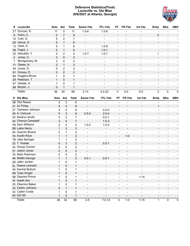# **Defensive Statistics(Final) Louisville vs. Ole Miss (9/6/2021 at Atlanta, Georgia)**



| #           | Louisville         | Solo           | Ast                     | <b>Total</b>              | Sacks-Yds                | <b>TFL-Yds</b>           | FF                           | FR-Yds                   | Int-Yds                      | <b>BrUp</b>              | <b>Blks</b>                  | QBH                 |
|-------------|--------------------|----------------|-------------------------|---------------------------|--------------------------|--------------------------|------------------------------|--------------------------|------------------------------|--------------------------|------------------------------|---------------------|
|             | 27 Duncan, K.      | 11             | $\mathbf 0$             | 11                        | $1.0 - 6$                | $1.0 - 6$                |                              |                          |                              |                          |                              |                     |
| 9           | Avery, C.          | 2              | $\overline{7}$          | 9                         | $\overline{\phantom{a}}$ | $\overline{\phantom{0}}$ | $\overline{\phantom{a}}$     |                          | $\blacksquare$               | $\overline{2}$           |                              |                     |
| 12          | Cole, Q.           | 5              | $\overline{2}$          | 7                         | $\blacksquare$           | $\blacksquare$           | $\blacksquare$               | $\overline{a}$           | $\blacksquare$               | $\overline{\phantom{a}}$ | $\overline{\phantom{a}}$     |                     |
| 2D          | Vance, G.          | 5              | $\mathbf{1}$            | 6                         | $\overline{\phantom{a}}$ | $\overline{\phantom{a}}$ | $\blacksquare$               | $\overline{\phantom{a}}$ | $\blacksquare$               | $\overline{\phantom{a}}$ |                              |                     |
| 13          | Clark, K.          | 5              | $\mathbf{1}$            | 6                         | $\blacksquare$           | $1.0 - 8$                | $\overline{a}$               | $\overline{a}$           | $\blacksquare$               | $\overline{\phantom{a}}$ | $\blacksquare$               |                     |
| 38          | Fagot, J.          | 5              | $\mathbf{1}$            | 6                         | $\overline{\phantom{a}}$ | $1.0 - 1$                | $\blacksquare$               | $\overline{\phantom{a}}$ | $\blacksquare$               | $\overline{\phantom{a}}$ | $\overline{\phantom{a}}$     |                     |
| 22          | Abdullah, Y.       | $\overline{2}$ | $\overline{2}$          | 4                         | $1.0 - 7$                | $1.0 - 7$                | $\blacksquare$               | $\overline{a}$           | $\blacksquare$               | 1                        | $\blacksquare$               |                     |
| $2^{\circ}$ | Jones, C.          | 3              | 0                       | 3                         | $\overline{\phantom{a}}$ | $\overline{\phantom{a}}$ | $\overline{\phantom{a}}$     | $\overline{\phantom{a}}$ | $\blacksquare$               | $\overline{\phantom{a}}$ | $\overline{\phantom{a}}$     |                     |
| 7           | Montgomery, M.     | 3              | 0                       | 3                         | $\overline{\phantom{a}}$ | $\qquad \qquad -$        | $\blacksquare$               | $\overline{a}$           | $\blacksquare$               | $\overline{\phantom{a}}$ | $\overline{\phantom{a}}$     |                     |
| 11          | Okeke, N.          | $\overline{2}$ | $\mathbf{1}$            | $\ensuremath{\mathsf{3}}$ | $\blacksquare$           | $\overline{\phantom{a}}$ | $\overline{\phantom{a}}$     | $\overline{\phantom{a}}$ | $\blacksquare$               | $\overline{\phantom{a}}$ | $\overline{\phantom{a}}$     |                     |
| 44          | Jones, D.          | 0              | $\overline{2}$          | $\overline{c}$            | $\overline{\phantom{a}}$ | $\qquad \qquad -$        | $\blacksquare$               | $\overline{a}$           | $\blacksquare$               | $\overline{\phantom{a}}$ | $\blacksquare$               |                     |
| 91          | Dorsey, D.         | 0              | $\overline{2}$          | $\overline{2}$            | $\blacksquare$           | $\overline{\phantom{a}}$ | $\overline{\phantom{a}}$     | $\overline{\phantom{a}}$ | $\blacksquare$               | $\overline{\phantom{a}}$ | $\overline{\phantom{a}}$     |                     |
| 9A          | Huggins-Bruce      | 1              | 0                       | 1                         | $\overline{\phantom{a}}$ | $\qquad \qquad -$        | $\blacksquare$               | $\overline{a}$           | $\blacksquare$               | $\overline{\phantom{a}}$ | $\blacksquare$               |                     |
| 29          | Peterson, T.       | $\mathbf{1}$   | 0                       | $\mathbf{1}$              | $\blacksquare$           | $\qquad \qquad -$        | $\overline{\phantom{a}}$     | $\overline{\phantom{a}}$ | $\overline{\phantom{a}}$     | $\overline{\phantom{a}}$ | $\overline{\phantom{a}}$     |                     |
| 97          | Gillotte, A.       | 1              | 0                       | 1                         | $\blacksquare$           | $\blacksquare$           | $\blacksquare$               | $\overline{a}$           | $\blacksquare$               | $\blacksquare$           | $\overline{\phantom{a}}$     |                     |
|             | 98 Boykin, J.      | 0              | $\mathbf{1}$            | $\mathbf{1}$              | $\overline{\phantom{a}}$ |                          | $\blacksquare$               | $\overline{\phantom{a}}$ |                              | $\blacksquare$           | $\overline{\phantom{a}}$     |                     |
|             | <b>Totals</b>      | 46             | 20                      | 66                        | $2 - 13$                 | $4.0 - 22$               | 0                            | $0-0$                    | $0-0$                        | 3                        | $\pmb{0}$                    | $\mathbf 0$         |
| #           | <b>Ole Miss</b>    | Solo           | Ast                     | <b>Total</b>              | Sacks-Yds                | <b>TFL-Yds</b>           | FF                           | FR-Yds                   | Int-Yds                      | <b>BrUp</b>              | <b>Blks</b>                  | QBH                 |
|             | 3B Otis Reese      | 5              | 3                       | 8                         |                          |                          |                              |                          |                              |                          |                              |                     |
|             | 21 AJ Finley       | 4              | 4                       | $\bf 8$                   |                          |                          |                              |                          |                              | $\mathbf{1}$             |                              |                     |
|             | 27 Tysheem Johnson | 3              | 5                       | 8                         |                          | $0.5 - 0$                | ÷                            | $\overline{a}$           | $\overline{a}$               | $\overline{\phantom{a}}$ |                              |                     |
|             | 36 A. Cistrunk     | 5              | 3                       | 8                         | $0.5 - 2$                | $2.5 - 4$                | $\overline{\phantom{a}}$     | $\overline{a}$           |                              |                          |                              |                     |
|             | 20 Keidron Smith   | 5              | $\overline{2}$          | $\overline{7}$            |                          | $0.5 - 1$                | ÷                            | $\overline{a}$           | $\overline{a}$               | $\overline{\phantom{a}}$ |                              |                     |
|             | 44 Chance Campbell | 3              | $\overline{\mathbf{4}}$ | $\overline{7}$            |                          | $1.5 - 3$                | $\overline{\phantom{0}}$     | $\overline{a}$           |                              |                          |                              |                     |
|             | 7B Sam Williams    | 2              | 2                       | 4                         | $1.0 - 2$                | $1.0 - 2$                | $\overline{\phantom{0}}$     | $\blacksquare$           | $\overline{a}$               | $\overline{\phantom{a}}$ | $\overline{\phantom{0}}$     |                     |
|             | 0B Lakia Henry     | $\mathbf{1}$   | $\overline{c}$          | 3                         |                          | $\overline{a}$           | $\overline{\phantom{0}}$     | $\overline{\phantom{a}}$ |                              |                          |                              |                     |
|             | 94 Quentin Bivens  | 2              | $\mathbf 1$             | $\ensuremath{\mathsf{3}}$ |                          | $\overline{\phantom{a}}$ | $\overline{\phantom{a}}$     |                          | $\overline{a}$               | $\overline{\phantom{a}}$ | $\overline{a}$               |                     |
|             | 1K Austin Keys     | $\mathbf{1}$   | $\mathbf{1}$            | $\overline{2}$            |                          |                          | $\overline{\phantom{a}}$     | $1 - 0$                  |                              |                          |                              |                     |
|             | 1B Jake Springer   | 1              | 1                       | $\overline{2}$            | $\blacksquare$           | $\overline{\phantom{a}}$ | $\overline{\phantom{0}}$     | $\overline{a}$           | $\overline{a}$               | $\overline{\phantom{a}}$ | $\overline{a}$               |                     |
|             | 22 T. Tisdale      | $\mathbf 0$    | $\overline{2}$          | $\overline{2}$            |                          | $0.5 - 1$                | $\overline{\phantom{m}}$     | $\overline{a}$           |                              |                          |                              |                     |
|             | 24 Snoop Conner    | 2              | $\pmb{0}$               | $\overline{2}$            | $\overline{\phantom{a}}$ |                          | $\overline{\phantom{0}}$     | ÷,                       | $\overline{a}$               | $\overline{\phantom{a}}$ | $\overline{a}$               |                     |
|             | 31 Jaylon Jones    | $\overline{2}$ | $\mathsf 0$             | $\overline{2}$            | $\blacksquare$           |                          |                              |                          |                              |                          |                              |                     |
|             | 35 Mark Robinson   | $\overline{c}$ | 0                       | $\overline{2}$            |                          | ÷                        | $\overline{a}$               | ÷,                       |                              | $\overline{\phantom{a}}$ |                              |                     |
|             | 46 MoMo Sanogo     | $\mathbf{1}$   | $\mathbf{1}$            | $\overline{2}$            | $0.5 - 1$                | $0.5 - 1$                |                              |                          |                              |                          |                              |                     |
|             | 2B Jalen Jordan    | 1              | $\pmb{0}$               | 1                         |                          |                          |                              |                          |                              |                          |                              |                     |
|             | 2L Deane Leonard   |                | 0                       |                           |                          |                          |                              |                          |                              |                          |                              |                     |
|             | 3A Kentrel Bullock | 1              | 0                       | 1                         |                          |                          |                              |                          | -                            | $\overline{\phantom{a}}$ |                              |                     |
|             | 4B Tylan Knight    | $\mathbf{1}$   | 0                       | $\mathbf 1$               |                          |                          |                              |                          | $\overline{\phantom{0}}$     |                          |                              |                     |
|             | 5B Deantre Prince  | 1              | 0                       | 1                         | $\overline{\phantom{a}}$ | $\overline{a}$           | $\overline{\phantom{0}}$     | $\qquad \qquad -$        | $1 - 15$                     | $\overline{a}$           | -                            |                     |
|             | 91 Isaiah Iton     | $\mathbf{1}$   | $\pmb{0}$               | $\mathbf 1$               |                          |                          |                              |                          |                              |                          |                              |                     |
|             | 30 Zikerrion Baker | 1              | 0                       | 1                         |                          |                          | $\overline{\phantom{0}}$     | $\overline{a}$           |                              |                          |                              |                     |
|             | 33 Cedric Johnson  | 0              | $\mathbf{1}$            | $\mathbf{1}$              |                          |                          |                              |                          |                              |                          |                              |                     |
|             | 43 Caden Costa     | 1              | $\pmb{0}$               | 1                         | $\overline{\phantom{a}}$ | $\overline{a}$           | $\overline{\phantom{0}}$     | $\overline{a}$           | $\qquad \qquad \blacksquare$ | $\overline{a}$           | $\overline{\phantom{0}}$     |                     |
|             | 55 KD Hill         | 1              | $\mathbf 0$             | 1                         | -                        |                          | $\qquad \qquad \blacksquare$ | $\overline{\phantom{0}}$ | $\overline{\phantom{0}}$     | $\overline{a}$           | $\qquad \qquad \blacksquare$ |                     |
|             | <b>Totals</b>      | 48             | 32                      | 80                        | $2 - 5$                  | $7.0 - 12$               | $\pmb{0}$                    | $1 - 0$                  | $1 - 15$                     | $\mathbf{1}$             | $\pmb{0}$                    | $\mathsf{O}\xspace$ |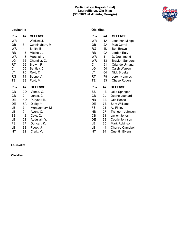# **Participation Report(Final) Louisville vs. Ole Miss (9/6/2021 at Atlanta, Georgia)**



# **Louisville**

| Pos       | ##              | <b>OFFENSE</b> |
|-----------|-----------------|----------------|
| <b>WR</b> | 1               | Watkins, J.    |
| QB        | 3               | Cunningham, M. |
| WR.       | 4               | Smith, B.      |
| RB        | 15 <sub>1</sub> | Mitchell, J.   |
| <b>WR</b> | 18              | Marshall, J.   |
| LG        | 55              | Chandler, C.   |
| RT        | 56              | Brown, R.      |
| C.        | 66              | Bentley, C.    |
| LT        | 70              | Reid, T.       |
| RG        | 74              | Boone, A.      |
| TE        | 83              | Ford, M.       |
|           |                 |                |
| Pos       | ##              | <b>DEFENSE</b> |
| CB        | 2D              | Vance, G.      |
| CВ        | 2               | Jones, C.      |
| DE        | 4D              | Puryear, R.    |
| DE        | 6A              | Diaby, Y.      |
| LB.       | 7               | Montgomery, M. |
| LB        | 9               | Avery, C.      |
| SS        | 12 <sub>2</sub> | Cole, Q.       |
| LB        | 22              | Abdullah, Y.   |
| FS        | 27              | Duncan, K.     |
| LB        | 38              | Fagot, J.      |

 $\overline{\phantom{a}}$ 

# **Ole Miss**

| Pos       | ## | <b>OFFENSE</b>         |
|-----------|----|------------------------|
| <b>WR</b> | 1А | Jonathan Mingo         |
| QB        | 2Α | Matt Corral            |
| RG        | 5L | <b>Ben Brown</b>       |
| RB        | 9Α | Jerrion Ealy           |
| WR        | 11 | D. Drummond            |
| WR        | 13 | <b>Braylon Sanders</b> |
| C         | 51 | Orlando Umana          |
| LG        | 54 | Caleb Warren           |
| LT.       | 64 | Nick Broeker           |
| RT        | 78 | Jeremy James           |
| TE        | 83 | Chase Rogers           |
|           |    |                        |
| Pos       | ## | <b>DEFENSE</b>         |
| SS        | 1Β | Jake Springer          |
| CB        | 2L | Deane Leonard          |
| NΒ        | 3B | Otis Reese             |
| DE        | 7В | Sam Williams           |
| FS        | 21 | AJ Finley              |
| <b>NB</b> | 27 | Tysheem Johnson        |
| СB        | 31 | Jaylon Jones           |
| DE        | 33 | Cedric Johnson         |
| LВ        | 35 | Mark Robinson          |
| LВ        | 44 | <b>Chance Campbell</b> |

**Louisville:**

**Ole Miss:**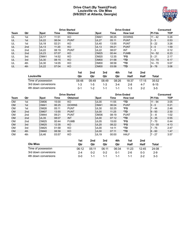# **Drive Chart (By Team)(Final) Louisville vs. Ole Miss (9/6/2021 at Atlanta, Georgia)**



|      |                 |             |       | <b>Drive Started</b> |                  | <b>Drive Ended</b> |                 | Consumed      |      |
|------|-----------------|-------------|-------|----------------------|------------------|--------------------|-----------------|---------------|------|
| Team | Qtr             | <b>Spot</b> | Time  | <b>Obtained</b>      | <b>Spot</b>      | Time               | <b>How lost</b> | <b>PI-Yds</b> | TOP  |
| UL   | 1st             | <b>UL17</b> | 11:51 | KO                   | <b>OM41</b>      | 06:25              | <b>DOWNS</b>    | $11 - 42$     | 5:26 |
| UL   | 1st             | <b>UL22</b> | 06:04 | <b>PUNT</b>          | <b>UL27</b>      | 05:11              | <b>PUNT</b>     | $3 - 5$       | 0:53 |
| UL   | 1st             | <b>UL18</b> | 02:21 | KO.                  | <b>UL40</b>      | 13:55              | <b>PUNT</b>     | $5 - 22$      | 3:26 |
| UL   | 2 <sub>nd</sub> | UL13        | 11:20 | KO.                  | <b>UL13</b>      | 09:21              | <b>PUNT</b>     | $3 - 0$       | 1:59 |
| UL   | 2 <sub>nd</sub> | <b>UL22</b> | 08:19 | <b>PUNT</b>          | <b>UL22</b>      | 08:07              | INT             | $1 - 0$       | 0:12 |
| UL   | 2 <sub>nd</sub> | UL23        | 07:07 | KO.                  | OM25             | 00:44              | <b>FUMB</b>     | $14 - 52$     | 6:23 |
| UL   | 3rd             | OM41        | 14:52 | KO                   | OM20             | 12:35              | *FG             | $15 - 21$     | 2:17 |
| UL   | 3rd             | <b>UL30</b> | 08:15 | KO                   | OM <sub>00</sub> | 01:58              | $*TD$           | $13 - 70$     | 6:17 |
| UL   | 4th             | <b>UL30</b> | 14:05 | KO                   | OM <sub>00</sub> | 08:58              | *TD             | $14 - 70$     | 5:07 |
| UL   | 4th             | <b>UL22</b> | 07:04 | <b>KO</b>            | OM <sub>00</sub> | 03:58              | $*TD$           | $9 - 78$      | 3:06 |

|                      | 1st     | 2nd     | 3rd   | 4th     | 1st     | 2nd   |       |
|----------------------|---------|---------|-------|---------|---------|-------|-------|
| Louisville           | Qtr     | Qtr     | Qtr   | Qtr     | Half    | Half  | Total |
| Time of possession   | 08:48   | 09:49   | 08:49 | 08:26   | 18:37   | 17:15 | 35:52 |
| 3rd down conversions | 1-3     | $1 - 5$ | 1-3   | 3-4     | $2 - 8$ | 4-7   | 6-15  |
| 4th down conversions | $0 - 1$ | $1 - 2$ | 1-1   | $1 - 1$ | $1 - 3$ | $2-2$ | $3-5$ |

|             |     |                  | <b>Drive Started</b> |                 |                  |       | <b>Drive Ended</b> | Consumed      |      |  |
|-------------|-----|------------------|----------------------|-----------------|------------------|-------|--------------------|---------------|------|--|
| <b>Team</b> | Qtr | <b>Spot</b>      | Time                 | <b>Obtained</b> | <b>Spot</b>      | Time  | <b>How lost</b>    | <b>PI-Yds</b> | TOP  |  |
| <b>OM</b>   | 1st | OM <sub>06</sub> | 15:00                | KO              | UL <sub>00</sub> | 11:55 | *TD                | $11 - 94$     | 3:05 |  |
| <b>OM</b>   | 1st | <b>OM41</b>      | 06:25                | <b>DOWNS</b>    | <b>OM41</b>      | 06:04 | <b>PUNT</b>        | $3 - 0$       | 0:21 |  |
| <b>OM</b>   | 1st | OM26             | 05:11                | <b>PUNT</b>     | <b>UL30</b>      | 02:25 | *FG                | $7 - 44$      | 2:46 |  |
| <b>OM</b>   | 2nd | OM <sub>07</sub> | 13:55                | <b>PUNT</b>     | UL <sub>00</sub> | 11:25 | $*TD$              | $9 - 93$      | 2:30 |  |
| <b>OM</b>   | 2nd | <b>OM44</b>      | 09:21                | <b>PUNT</b>     | OM36             | 08:19 | <b>PUNT</b>        | $3 - -8$      | 1:02 |  |
| <b>OM</b>   | 2nd | <b>UL35</b>      | 08:07                | <b>INT</b>      | <b>UL00</b>      | 07:12 | $*TD$              | $3 - 35$      | 0:55 |  |
| <b>OM</b>   | 2nd | <b>OM25</b>      | 00:44                | <b>FUMB</b>     | UL <sub>05</sub> | 15:00 | *FG                | $7 - 70$      | 0:44 |  |
| <b>OM</b>   | 3rd | <b>OM25</b>      | 12:35                | <b>KO</b>       | <b>UL20</b>      | 08:22 | *FG                | $13 - 55$     | 4:13 |  |
| <b>OM</b>   | 3rd | <b>OM25</b>      | 01:58                | KO.             | UL <sub>00</sub> | 14:11 | *TD                | $7 - 75$      | 2:47 |  |
| <b>OM</b>   | 4th | <b>OM40</b>      | 08:58                | <b>KO</b>       | UL <sub>00</sub> | 07:11 | $*TD$              | $6 - 60$      | 1:47 |  |
| <b>OM</b>   | 4th | <b>UL46</b>      | 03:57                | KO              | <b>UL19</b>      | 00:00 | <b>HALF</b>        | $-27$         | 3:57 |  |

|                      | 1st     | 2nd     | 3rd     | 4th     | 1st     | 2nd   |         |
|----------------------|---------|---------|---------|---------|---------|-------|---------|
| <b>Ole Miss</b>      | Qtr     | Qtr     | Qtr     | Qtr     | Half    | Half  | Total   |
| Time of possession   | 06:12   | 05:11   | 06:11   | 06:34   | 11:23   | 12:45 | 24:08   |
| 3rd down conversions | $2 - 4$ | $0 - 2$ | $0 - 2$ | $0 - 1$ | $2-6$   | 0-3   | $2 - 9$ |
| 4th down conversions | ი-ი     | 1-1     | 1-1     | 1_1     | $1 - 1$ | $2-2$ | $3 - 3$ |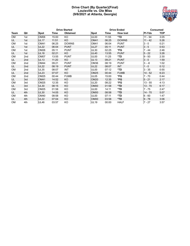# **Drive Chart (By Quarter)(Final) Louisville vs. Ole Miss (9/6/2021 at Atlanta, Georgia)**



|           |                 |                  |       | <b>Drive Started</b> |                  |       | <b>Drive Ended</b> |               | <b>Consumed</b> |
|-----------|-----------------|------------------|-------|----------------------|------------------|-------|--------------------|---------------|-----------------|
| Team      | Qtr             | <b>Spot</b>      | Time  | <b>Obtained</b>      | <b>Spot</b>      | Time  | <b>How lost</b>    | <b>PI-Yds</b> | <b>TOP</b>      |
| <b>OM</b> | 1st             | OM <sub>06</sub> | 15:00 | KO                   | UL <sub>00</sub> | 11:55 | *TD                | 11 - 94       | 3:05            |
| UL        | 1st             | <b>UL17</b>      | 11:51 | KO.                  | <b>OM41</b>      | 06:25 | <b>DOWNS</b>       | $11 - 42$     | 5:26            |
| <b>OM</b> | 1st             | OM41             | 06:25 | <b>DOWNS</b>         | OM41             | 06:04 | <b>PUNT</b>        | $3 - 0$       | 0:21            |
| UL        | 1st             | <b>UL22</b>      | 06:04 | <b>PUNT</b>          | <b>UL27</b>      | 05:11 | <b>PUNT</b>        | $3 - 5$       | 0:53            |
| <b>OM</b> | 1st             | OM26             | 05:11 | <b>PUNT</b>          | <b>UL30</b>      | 02:25 | *FG                | $7 - 44$      | 2:46            |
| UL        | 1st             | <b>UL18</b>      | 02:21 | KO                   | <b>UL40</b>      | 13:55 | <b>PUNT</b>        | $5 - 22$      | 3:26            |
| <b>OM</b> | 2 <sub>nd</sub> | OM <sub>07</sub> | 13:55 | <b>PUNT</b>          | UL00             | 11:25 | *TD                | $9 - 93$      | 2:30            |
| UL        | 2 <sub>nd</sub> | <b>UL13</b>      | 11:20 | KO                   | <b>UL13</b>      | 09:21 | <b>PUNT</b>        | $3 - 0$       | 1:59            |
| <b>OM</b> | 2nd             | <b>OM44</b>      | 09:21 | <b>PUNT</b>          | OM36             | 08:19 | <b>PUNT</b>        | $3 - -8$      | 1:02            |
| UL        | 2 <sub>nd</sub> | <b>UL22</b>      | 08:19 | <b>PUNT</b>          | <b>UL22</b>      | 08:07 | <b>INT</b>         | $1 - 0$       | 0:12            |
| <b>OM</b> | 2nd             | <b>UL35</b>      | 08:07 | INT                  | UL <sub>00</sub> | 07:12 | *TD                | $3 - 35$      | 0:55            |
| UL        | 2 <sub>nd</sub> | <b>UL23</b>      | 07:07 | KO.                  | <b>OM25</b>      | 00:44 | <b>FUMB</b>        | $14 - 52$     | 6:23            |
| <b>OM</b> | 2 <sub>nd</sub> | OM25             | 00:44 | <b>FUMB</b>          | <b>UL05</b>      | 15:00 | *FG                | $7 - 70$      | 0:44            |
| UL        | 3rd             | <b>OM41</b>      | 14:52 | KO.                  | <b>OM20</b>      | 12:35 | *FG                | $5 - 21$      | 2:17            |
| <b>OM</b> | 3rd             | <b>OM25</b>      | 12:35 | KO.                  | <b>UL20</b>      | 08:22 | *FG                | $13 - 55$     | 4:13            |
| UL        | 3rd             | <b>UL30</b>      | 08:15 | KO                   | OM <sub>00</sub> | 01:58 | *TD                | $13 - 70$     | 6:17            |
| <b>OM</b> | 3rd             | <b>OM25</b>      | 01:58 | KO                   | UL00             | 14:11 | *TD                | $7 - 75$      | 2:47            |
| UL        | 4th             | <b>UL30</b>      | 14:05 | KO.                  | OM <sub>00</sub> | 08:58 | $*TD$              | $14 - 70$     | 5:07            |
| <b>OM</b> | 4th             | <b>OM40</b>      | 08:58 | KO.                  | UL <sub>00</sub> | 07:11 | *TD                | $6 - 60$      | 1:47            |
| UL        | 4th             | <b>UL22</b>      | 07:04 | KO                   | OM <sub>00</sub> | 03:58 | *TD                | $9 - 78$      | 3:06            |
| <b>OM</b> | 4th             | <b>UL46</b>      | 03:57 | KO                   | <b>UL19</b>      | 00:00 | <b>HALF</b>        | $7 - 27$      | 3:57            |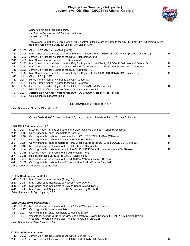# **Play-by-Play Summary (1st quarter) Louisville vs. Ole Miss (9/6/2021 at Atlanta, Georgia)**



*Louisville wins the toss and defers. Ole Miss will receive and defend the east goal. UL ball on UL35.*

Travelstead, B. kickoff 65 yards to the OM0, Kentrel Bullock return 11 yards to the OM11, PENALTY OM holding (Miles Battle) 5 yards to the OM6, 1st and 10, OM ball on OM6.

1-10 OM06 Clock 14:57, OM ball on OM6. [14:57]

| 1-10     | OM06        | Matt Corral pass complete to D. Drummond for 24 yards to the OM30, 1ST DOWN OM (Avery, C.;Fagot, J.).   | P |
|----------|-------------|---------------------------------------------------------------------------------------------------------|---|
| 1-10     | OM30        | Jerrion Ealy rush for no gain to the OM30 (Montgomery, M.).                                             |   |
| $2 - 10$ | OM30        | Matt Corral pass incomplete to D. Drummond.                                                             |   |
| $3 - 10$ | OM30        | Matt Corral pass complete to Jerrion Ealy for 11 yards to the OM41, 1ST DOWN OM (Avery, C.; Vance, G.). | P |
| $1 - 10$ | OM41        | Matt Corral pass complete to Jahcour Pearson for 27 yards to the UL32, 1ST DOWN OM (Vance, G.).         | P |
| 1-10     | UL32        | Jerrion Ealy rush for 3 yards to the UL29 (Abdullah, Y.).                                               |   |
| $2 - 7$  | <b>UL29</b> | Matt Corral pass complete to Jerrion Ealy for 18 yards to the UL11, 1ST DOWN OM (Duncan, K.).           | P |
| $1 - 10$ | <b>UL11</b> | Clock 12:52, [12:52]                                                                                    |   |
| 1-10     | <b>UL11</b> | Henry Parrish rush for 4 yards to the UL7 (Vance, G.).                                                  |   |
| 2-6      | UL07        | Henry Parrish rush for 4 yards to the UL3 (Peterson, T.).                                               |   |
| $3-2$    | UL03        | Henry Parrish rush for 2 yards to the UL1, 1ST DOWN OM (Duncan, K.).                                    | R |
| 1-0      | UL01        | PENALTY UL offside defense (Vance, G.) 0 yards to the UL1.                                              |   |
| $1-0$    | UL01        | Jerrion Ealy rush for 1 yard to the UL0, TOUCHDOWN, clock 11:55. [11:55]                                |   |
| $1 - 0$  | UL03        | Cale Nation kick attempt failed.                                                                        |   |

# **LOUISVILLE 0, OLE MISS 6**

*Drive Summary: 11 plays, 94 yards, 3:05*

Caden Costa kickoff 62 yards to the UL3, Hall, H. return 14 yards to the UL17 (Mark Robinson).

#### **LOUISVILLE drive start at 11:51.**

|          | 1-10 UL17 | Mitchell, J. rush for loss of 1 yard to the UL16 (Chance Campbell; Tysheem Johnson).       |   |
|----------|-----------|--------------------------------------------------------------------------------------------|---|
| $2 - 11$ | UL16      | Cunningham, M. pass incomplete to Ford, M                                                  |   |
| 3-11     | UL16      | Cunningham, M. rush for 11 yards to the UL27, 1ST DOWN UL (Sam Williams).                  | R |
| 1-10     | UL27      | Cunningham, M. rush for 8 yards to the UL35 (AJ Finley).                                   |   |
| $2 - 2$  | UL35      | Cunningham, M. pass complete to Ford, M. for 5 yards to the UL40, 1ST DOWN UL (AJ Finley). | P |
| 1-10     | UL40      | Mitchell, J. rush for 6 yards to the UL46 (Chance Campbell).                               |   |
| $2 - 4$  | UL46      | Cunningham, M. rush for 6 yards to the OM48, 1ST DOWN UL, out-of-bounds (Otis Reese).      | R |
| 1-10     | OM48      | Mitchell, J. rush for 3 yards to the OM45 (Isaiah Iton).                                   |   |
| $2 - 7$  | OM45      | Hall, H. rush for 6 yards to the OM39 (Tylan Knight).                                      |   |
| $3-1$    | OM39      | Mitchell, J. rush for no gain to the OM39 (Sam Williams; Quentin Bivens).                  |   |
| 4-1      | OM39      | Cunningham, M. rush for loss of 2 yards to the OM41 (Chance Campbell).                     |   |
|          |           | $Dmin \circ Cmin \circ Cmin \circ Cmin$                                                    |   |

*Drive Summary: 11 plays, 42 yards, 5:26*

#### **OLE MISS drive start at 06:25.**

- 1-10 OM41 Matt Corral pass incomplete (Avery, C.).
- 2-10 OM41 Matt Corral pass incomplete to Hudson Wolfe (Avery, C.).
- 3-10 OM41 Matt Corral pass incomplete to Braylon Sanders (Abdullah, Y.).
- 4-10 OM41 Mac Brown punt 37 yards to the UL22, fair catch by Smith, B..

*Drive Summary: 3 plays, 0 yards, 0:21*

#### **LOUISVILLE drive start at 06:04.**

- 1-10 UL22 Mitchell, J. rush for 5 yards to the UL27 (Sam Williams;Cedric Johnson).
- 2-5 UL27 Cunningham, M. pass incomplete.
- 3-5 UL27 Cunningham, M. pass incomplete to Huggins-Bruce.
- 4-5 UL27 Vassett, M. punt 37 yards to the OM36, fair catch by Braylon Sanders, PENALTY OM holding (Isaiah Woullard) 10 yards to the OM26, 1st and 10, OM ball on OM26.

*Drive Summary: 3 plays, 5 yards, 0:53*

#### **OLE MISS drive start at 05:11.**

1-10 OM26 Jerrion Ealy rush for 9 yards to the OM35 (Duncan, K.).

2-1 OM35 Jerrion Ealy rush for 2 yards to the OM37, 1ST DOWN OM (Avery, C.).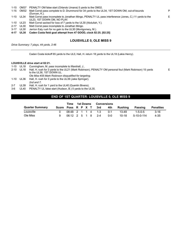|  | 1-10 OM37 PENALTY OM false start (Orlando Umana) 5 yards to the OM32.                   |
|--|-----------------------------------------------------------------------------------------|
|  | A 45 OM22 Mett Cerrel page complete to D. Drummond for 24 varie to the UL24 4CT DOMALOM |

- 1-15 OM32 Matt Corral pass complete to D. Drummond for 34 yards to the UL34, 1ST DOWN OM, out-of-bounds (Duncan, K.).
- 1-10 UL34 Matt Corral pass incomplete to Jonathan Mingo, PENALTY UL pass interference (Jones, C.) 11 yards to the UL23, 1ST DOWN OM, NO PLAY.
- 1-10 UL23 Matt Corral sacked for loss of 7 yards to the UL30 (Abdullah, Y.).
- 2-17 UL30 Matt Corral pass incomplete to Jonathan Mingo.
- 3-17 UL30 Jerrion Ealy rush for no gain to the UL30 (Montgomery, M.).
- **4-17 UL30 Caden Costa field goal attempt from 47 GOOD, clock 02:25. [02:25]**

# **LOUISVILLE 0, OLE MISS 9**

P

E

E

*Drive Summary: 7 plays, 44 yards, 2:46*

Caden Costa kickoff 65 yards to the UL0, Hall, H. return 18 yards to the UL18 (Lakia Henry).

#### **LOUISVILLE drive start at 02:21.**

- 1-10 UL18 Cunningham, M. pass incomplete to Marshall, J..
- 2-10 UL18 Hall, H. rush for 3 yards to the UL21 (Mark Robinson), PENALTY OM personal foul (Mark Robinson) 15 yards to the UL36, 1ST DOWN UL.
	- *Ole Miss #35 Mark Robinson disqualified for targeting.*
- 1-10 UL36 Hall, H. rush for 3 yards to the UL39 (Jake Springer).
- *2nd and 7.*
- 2-7 UL39 Hall, H. rush for 1 yard to the UL40 (Quentin Bivens).
- 3-6 UL40 PENALTY UL false start (Hudson, B.) 5 yards to the UL35.

# **END OF 1ST QUARTER: LOUISVILLE 0, OLE MISS 9**

|                        |                        | Time              |  |  |  | 1st Downs Conversions |       |             |                 |                  |  |  |
|------------------------|------------------------|-------------------|--|--|--|-----------------------|-------|-------------|-----------------|------------------|--|--|
| <b>Quarter Summary</b> | Score Poss R P X T 3rd |                   |  |  |  |                       |       | 4th Rushina | Passing         | <b>Penalties</b> |  |  |
| Louisville             |                        | 08:48 2 1 1 4 1-3 |  |  |  |                       | _ ი-1 | 13-49       | $1 - 5 - 0 - 5$ | $3 - 16$         |  |  |
| Ole Miss               |                        | 06:12 2 5 1 8 2-4 |  |  |  |                       | 0-0   | 10-18       | $5-10-0-114$    | 4-35             |  |  |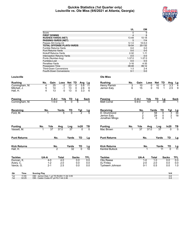# **Quickie Statistics (1st Quarter only) Louisville vs. Ole Miss (9/6/2021 at Atlanta, Georgia)**



| $\overline{0}$<br>$\overline{9}$<br>Score<br><b>FIRST DOWNS</b><br>8<br>$\overline{\mathbf{A}}$<br><b>RUSHES-YARDS (NET)</b><br>13-49<br>$10 - 18$<br><b>PASSING-YARDS (NET)</b><br>5<br>114<br>$10 - 5 - 0$<br>Passes Att-Comp-Int<br>$5 - 1 - 0$<br><b>TOTAL OFFENSE PLAYS-YARDS</b><br>18-54<br>20-132<br>Fumble Returns-Yards<br>$0-0$<br>$0 - 0$<br>$0-0$<br><b>Punt Returns-Yards</b><br>$0 - 0$<br>Kickoff Returns-Yards<br>$2 - 32$<br>$1 - 11$<br>$0-0$<br>$0 - 0$<br>Interception Returns-Yards<br>$1 - 37.0$<br>Punts (Number-Avg)<br>$1 - 37.0$<br>$0-0$<br>$0 - 0$<br>Fumbles-Lost<br>$4 - 35$<br>Penalties-Yards<br>$3 - 16$<br>08:48<br>06:12<br><b>Possession Time</b><br><b>Third-Down Conversions</b><br>$1 - 3$<br>$2 - 4$<br>$0 - 1$<br>$0-0$<br><b>Fourth-Down Conversions</b><br><b>Ole Miss</b><br>Louisville<br>Gain<br>Net TD<br>No.<br>Net TD<br><b>Rushing</b><br>No.<br>Loss<br><b>Rushing</b><br>Gain<br>Loss<br>Avg<br>Lg<br>Avg<br>Lg<br>Cunningham, M.<br>$-2$<br>$\mathbf 0$<br>5.8<br>Henry Parrish<br>3.3<br>4<br>25<br>23<br>11<br>3<br>10<br>0<br>10<br>0<br>4<br>5<br>9<br>13<br>$-1$<br>0<br>2.6<br>6<br>15<br>2.5<br>Mitchell, J.<br>14<br>6<br>Jerrion Ealy<br>15<br>0<br>1<br>13<br>3.3<br>6<br>Hall, H.<br>4<br>13<br>$\mathbf 0$<br>0<br>C-A-I<br><b>Passing</b><br>C-A-I<br>Yds<br><b>Passing</b><br>Yds<br>TD<br><b>Sack</b><br>TD<br>Lg<br>Sack<br>Lg<br>$1 - 5 - 0$<br><b>Matt Corral</b><br>$5 - 9 - 0$<br>107<br>$\overline{0}$<br>5<br>$\Omega$<br>34<br>Cunningham, M.<br>5<br>O<br>Receiving<br>No.<br>Yards<br>TD<br>Tgt<br>Receiving<br>No.<br>Yards<br>TD<br><u>Lg</u><br>Tgt<br>$\frac{Lg}{5}$<br>$\overline{34}$<br>Ford, M.<br>D. Drummond<br>2<br>58<br>$\Omega$<br>3<br>$\tilde{2}$<br>$\overline{\mathbf{c}}$<br>29<br>0<br>18<br>Jerrion Ealy<br>0<br>0<br>$\Omega$<br>1<br>Jonathan Mingo<br><b>Punting</b><br>No.<br>Yds<br>ln20<br>ΤВ<br><b>Punting</b><br>No.<br>Yds<br>ln20<br>Avg<br>Lng<br>Avg<br>Lng<br>TВ<br>37.0<br>37<br>37.0<br>$\overline{37}$<br>Mac Brown<br>$\overline{37}$<br>$\overline{37}$<br>$\overline{0}$<br>Vassett, M.<br>$\Omega$<br>No.<br>TD<br><b>Punt Returns</b><br>TD<br><b>Punt Returns</b><br>Yards<br>No.<br>Yards<br>Lg<br><u>Lg</u><br><b>Kick Returns</b><br><b>Kick Returns</b><br>No.<br>Yards<br>TD<br>No.<br>Yards<br>TD<br><u>Lg</u><br><u>Lg</u><br>$\overline{2}$<br>$\overline{32}$<br>$\overline{0}$<br><b>Kentrel Bullock</b><br>$\overline{0}$<br>Hall, H.<br>18<br>11<br>11<br><b>Tackles</b><br>UA-A<br>Total<br><b>Sacks</b><br>TFL<br><b>Tackles</b><br>UA-A<br>Total<br><b>Sacks</b><br>TFL<br>Otis Reese<br>Duncan, K.<br>4.0<br>0.0<br>0.0<br>$1 - 0$<br>1.0<br>0.0<br>0.0<br>4-0<br>2.0<br>AJ Finley<br>2.0<br>0.0<br>Avery, C.<br>$1 - 2$<br>0.0<br>0.0<br>$2 - 0$<br>0.0<br>2.5<br>1.0<br>$2 - 1$<br>0.0<br>0.0<br>Tysheem Johnson<br>$0 - 1$<br>0.5<br>0.0<br>Vance, G.<br>V-H<br>Qtr<br>Time<br><b>Scoring Play</b><br>OM - Jerrion Ealy 1 yd TD RUSH 11-94 3:05<br>11:55<br>$0 - 6$<br>1st<br>02:25<br>OM - Caden Costa 47 yd FG 7-44 2:46<br>$0 - 9$<br>1st |  | UL | OM |  |  |
|-------------------------------------------------------------------------------------------------------------------------------------------------------------------------------------------------------------------------------------------------------------------------------------------------------------------------------------------------------------------------------------------------------------------------------------------------------------------------------------------------------------------------------------------------------------------------------------------------------------------------------------------------------------------------------------------------------------------------------------------------------------------------------------------------------------------------------------------------------------------------------------------------------------------------------------------------------------------------------------------------------------------------------------------------------------------------------------------------------------------------------------------------------------------------------------------------------------------------------------------------------------------------------------------------------------------------------------------------------------------------------------------------------------------------------------------------------------------------------------------------------------------------------------------------------------------------------------------------------------------------------------------------------------------------------------------------------------------------------------------------------------------------------------------------------------------------------------------------------------------------------------------------------------------------------------------------------------------------------------------------------------------------------------------------------------------------------------------------------------------------------------------------------------------------------------------------------------------------------------------------------------------------------------------------------------------------------------------------------------------------------------------------------------------------------------------------------------------------------------------------------------------------------------------------------------------------------------------------------------------------------------------------------------------------------------------------------------------------------------------------------------------------------------------------------------------------------------------------------------------------------------------------------------------------------------------------------------------------------------------------------------------------------------------------------------------------------------------|--|----|----|--|--|
|                                                                                                                                                                                                                                                                                                                                                                                                                                                                                                                                                                                                                                                                                                                                                                                                                                                                                                                                                                                                                                                                                                                                                                                                                                                                                                                                                                                                                                                                                                                                                                                                                                                                                                                                                                                                                                                                                                                                                                                                                                                                                                                                                                                                                                                                                                                                                                                                                                                                                                                                                                                                                                                                                                                                                                                                                                                                                                                                                                                                                                                                                           |  |    |    |  |  |
|                                                                                                                                                                                                                                                                                                                                                                                                                                                                                                                                                                                                                                                                                                                                                                                                                                                                                                                                                                                                                                                                                                                                                                                                                                                                                                                                                                                                                                                                                                                                                                                                                                                                                                                                                                                                                                                                                                                                                                                                                                                                                                                                                                                                                                                                                                                                                                                                                                                                                                                                                                                                                                                                                                                                                                                                                                                                                                                                                                                                                                                                                           |  |    |    |  |  |
|                                                                                                                                                                                                                                                                                                                                                                                                                                                                                                                                                                                                                                                                                                                                                                                                                                                                                                                                                                                                                                                                                                                                                                                                                                                                                                                                                                                                                                                                                                                                                                                                                                                                                                                                                                                                                                                                                                                                                                                                                                                                                                                                                                                                                                                                                                                                                                                                                                                                                                                                                                                                                                                                                                                                                                                                                                                                                                                                                                                                                                                                                           |  |    |    |  |  |
|                                                                                                                                                                                                                                                                                                                                                                                                                                                                                                                                                                                                                                                                                                                                                                                                                                                                                                                                                                                                                                                                                                                                                                                                                                                                                                                                                                                                                                                                                                                                                                                                                                                                                                                                                                                                                                                                                                                                                                                                                                                                                                                                                                                                                                                                                                                                                                                                                                                                                                                                                                                                                                                                                                                                                                                                                                                                                                                                                                                                                                                                                           |  |    |    |  |  |
|                                                                                                                                                                                                                                                                                                                                                                                                                                                                                                                                                                                                                                                                                                                                                                                                                                                                                                                                                                                                                                                                                                                                                                                                                                                                                                                                                                                                                                                                                                                                                                                                                                                                                                                                                                                                                                                                                                                                                                                                                                                                                                                                                                                                                                                                                                                                                                                                                                                                                                                                                                                                                                                                                                                                                                                                                                                                                                                                                                                                                                                                                           |  |    |    |  |  |
|                                                                                                                                                                                                                                                                                                                                                                                                                                                                                                                                                                                                                                                                                                                                                                                                                                                                                                                                                                                                                                                                                                                                                                                                                                                                                                                                                                                                                                                                                                                                                                                                                                                                                                                                                                                                                                                                                                                                                                                                                                                                                                                                                                                                                                                                                                                                                                                                                                                                                                                                                                                                                                                                                                                                                                                                                                                                                                                                                                                                                                                                                           |  |    |    |  |  |
|                                                                                                                                                                                                                                                                                                                                                                                                                                                                                                                                                                                                                                                                                                                                                                                                                                                                                                                                                                                                                                                                                                                                                                                                                                                                                                                                                                                                                                                                                                                                                                                                                                                                                                                                                                                                                                                                                                                                                                                                                                                                                                                                                                                                                                                                                                                                                                                                                                                                                                                                                                                                                                                                                                                                                                                                                                                                                                                                                                                                                                                                                           |  |    |    |  |  |
|                                                                                                                                                                                                                                                                                                                                                                                                                                                                                                                                                                                                                                                                                                                                                                                                                                                                                                                                                                                                                                                                                                                                                                                                                                                                                                                                                                                                                                                                                                                                                                                                                                                                                                                                                                                                                                                                                                                                                                                                                                                                                                                                                                                                                                                                                                                                                                                                                                                                                                                                                                                                                                                                                                                                                                                                                                                                                                                                                                                                                                                                                           |  |    |    |  |  |
|                                                                                                                                                                                                                                                                                                                                                                                                                                                                                                                                                                                                                                                                                                                                                                                                                                                                                                                                                                                                                                                                                                                                                                                                                                                                                                                                                                                                                                                                                                                                                                                                                                                                                                                                                                                                                                                                                                                                                                                                                                                                                                                                                                                                                                                                                                                                                                                                                                                                                                                                                                                                                                                                                                                                                                                                                                                                                                                                                                                                                                                                                           |  |    |    |  |  |
|                                                                                                                                                                                                                                                                                                                                                                                                                                                                                                                                                                                                                                                                                                                                                                                                                                                                                                                                                                                                                                                                                                                                                                                                                                                                                                                                                                                                                                                                                                                                                                                                                                                                                                                                                                                                                                                                                                                                                                                                                                                                                                                                                                                                                                                                                                                                                                                                                                                                                                                                                                                                                                                                                                                                                                                                                                                                                                                                                                                                                                                                                           |  |    |    |  |  |
|                                                                                                                                                                                                                                                                                                                                                                                                                                                                                                                                                                                                                                                                                                                                                                                                                                                                                                                                                                                                                                                                                                                                                                                                                                                                                                                                                                                                                                                                                                                                                                                                                                                                                                                                                                                                                                                                                                                                                                                                                                                                                                                                                                                                                                                                                                                                                                                                                                                                                                                                                                                                                                                                                                                                                                                                                                                                                                                                                                                                                                                                                           |  |    |    |  |  |
|                                                                                                                                                                                                                                                                                                                                                                                                                                                                                                                                                                                                                                                                                                                                                                                                                                                                                                                                                                                                                                                                                                                                                                                                                                                                                                                                                                                                                                                                                                                                                                                                                                                                                                                                                                                                                                                                                                                                                                                                                                                                                                                                                                                                                                                                                                                                                                                                                                                                                                                                                                                                                                                                                                                                                                                                                                                                                                                                                                                                                                                                                           |  |    |    |  |  |
|                                                                                                                                                                                                                                                                                                                                                                                                                                                                                                                                                                                                                                                                                                                                                                                                                                                                                                                                                                                                                                                                                                                                                                                                                                                                                                                                                                                                                                                                                                                                                                                                                                                                                                                                                                                                                                                                                                                                                                                                                                                                                                                                                                                                                                                                                                                                                                                                                                                                                                                                                                                                                                                                                                                                                                                                                                                                                                                                                                                                                                                                                           |  |    |    |  |  |
|                                                                                                                                                                                                                                                                                                                                                                                                                                                                                                                                                                                                                                                                                                                                                                                                                                                                                                                                                                                                                                                                                                                                                                                                                                                                                                                                                                                                                                                                                                                                                                                                                                                                                                                                                                                                                                                                                                                                                                                                                                                                                                                                                                                                                                                                                                                                                                                                                                                                                                                                                                                                                                                                                                                                                                                                                                                                                                                                                                                                                                                                                           |  |    |    |  |  |
|                                                                                                                                                                                                                                                                                                                                                                                                                                                                                                                                                                                                                                                                                                                                                                                                                                                                                                                                                                                                                                                                                                                                                                                                                                                                                                                                                                                                                                                                                                                                                                                                                                                                                                                                                                                                                                                                                                                                                                                                                                                                                                                                                                                                                                                                                                                                                                                                                                                                                                                                                                                                                                                                                                                                                                                                                                                                                                                                                                                                                                                                                           |  |    |    |  |  |
|                                                                                                                                                                                                                                                                                                                                                                                                                                                                                                                                                                                                                                                                                                                                                                                                                                                                                                                                                                                                                                                                                                                                                                                                                                                                                                                                                                                                                                                                                                                                                                                                                                                                                                                                                                                                                                                                                                                                                                                                                                                                                                                                                                                                                                                                                                                                                                                                                                                                                                                                                                                                                                                                                                                                                                                                                                                                                                                                                                                                                                                                                           |  |    |    |  |  |
|                                                                                                                                                                                                                                                                                                                                                                                                                                                                                                                                                                                                                                                                                                                                                                                                                                                                                                                                                                                                                                                                                                                                                                                                                                                                                                                                                                                                                                                                                                                                                                                                                                                                                                                                                                                                                                                                                                                                                                                                                                                                                                                                                                                                                                                                                                                                                                                                                                                                                                                                                                                                                                                                                                                                                                                                                                                                                                                                                                                                                                                                                           |  |    |    |  |  |
|                                                                                                                                                                                                                                                                                                                                                                                                                                                                                                                                                                                                                                                                                                                                                                                                                                                                                                                                                                                                                                                                                                                                                                                                                                                                                                                                                                                                                                                                                                                                                                                                                                                                                                                                                                                                                                                                                                                                                                                                                                                                                                                                                                                                                                                                                                                                                                                                                                                                                                                                                                                                                                                                                                                                                                                                                                                                                                                                                                                                                                                                                           |  |    |    |  |  |
|                                                                                                                                                                                                                                                                                                                                                                                                                                                                                                                                                                                                                                                                                                                                                                                                                                                                                                                                                                                                                                                                                                                                                                                                                                                                                                                                                                                                                                                                                                                                                                                                                                                                                                                                                                                                                                                                                                                                                                                                                                                                                                                                                                                                                                                                                                                                                                                                                                                                                                                                                                                                                                                                                                                                                                                                                                                                                                                                                                                                                                                                                           |  |    |    |  |  |
|                                                                                                                                                                                                                                                                                                                                                                                                                                                                                                                                                                                                                                                                                                                                                                                                                                                                                                                                                                                                                                                                                                                                                                                                                                                                                                                                                                                                                                                                                                                                                                                                                                                                                                                                                                                                                                                                                                                                                                                                                                                                                                                                                                                                                                                                                                                                                                                                                                                                                                                                                                                                                                                                                                                                                                                                                                                                                                                                                                                                                                                                                           |  |    |    |  |  |
|                                                                                                                                                                                                                                                                                                                                                                                                                                                                                                                                                                                                                                                                                                                                                                                                                                                                                                                                                                                                                                                                                                                                                                                                                                                                                                                                                                                                                                                                                                                                                                                                                                                                                                                                                                                                                                                                                                                                                                                                                                                                                                                                                                                                                                                                                                                                                                                                                                                                                                                                                                                                                                                                                                                                                                                                                                                                                                                                                                                                                                                                                           |  |    |    |  |  |
|                                                                                                                                                                                                                                                                                                                                                                                                                                                                                                                                                                                                                                                                                                                                                                                                                                                                                                                                                                                                                                                                                                                                                                                                                                                                                                                                                                                                                                                                                                                                                                                                                                                                                                                                                                                                                                                                                                                                                                                                                                                                                                                                                                                                                                                                                                                                                                                                                                                                                                                                                                                                                                                                                                                                                                                                                                                                                                                                                                                                                                                                                           |  |    |    |  |  |
|                                                                                                                                                                                                                                                                                                                                                                                                                                                                                                                                                                                                                                                                                                                                                                                                                                                                                                                                                                                                                                                                                                                                                                                                                                                                                                                                                                                                                                                                                                                                                                                                                                                                                                                                                                                                                                                                                                                                                                                                                                                                                                                                                                                                                                                                                                                                                                                                                                                                                                                                                                                                                                                                                                                                                                                                                                                                                                                                                                                                                                                                                           |  |    |    |  |  |
|                                                                                                                                                                                                                                                                                                                                                                                                                                                                                                                                                                                                                                                                                                                                                                                                                                                                                                                                                                                                                                                                                                                                                                                                                                                                                                                                                                                                                                                                                                                                                                                                                                                                                                                                                                                                                                                                                                                                                                                                                                                                                                                                                                                                                                                                                                                                                                                                                                                                                                                                                                                                                                                                                                                                                                                                                                                                                                                                                                                                                                                                                           |  |    |    |  |  |
|                                                                                                                                                                                                                                                                                                                                                                                                                                                                                                                                                                                                                                                                                                                                                                                                                                                                                                                                                                                                                                                                                                                                                                                                                                                                                                                                                                                                                                                                                                                                                                                                                                                                                                                                                                                                                                                                                                                                                                                                                                                                                                                                                                                                                                                                                                                                                                                                                                                                                                                                                                                                                                                                                                                                                                                                                                                                                                                                                                                                                                                                                           |  |    |    |  |  |
|                                                                                                                                                                                                                                                                                                                                                                                                                                                                                                                                                                                                                                                                                                                                                                                                                                                                                                                                                                                                                                                                                                                                                                                                                                                                                                                                                                                                                                                                                                                                                                                                                                                                                                                                                                                                                                                                                                                                                                                                                                                                                                                                                                                                                                                                                                                                                                                                                                                                                                                                                                                                                                                                                                                                                                                                                                                                                                                                                                                                                                                                                           |  |    |    |  |  |
|                                                                                                                                                                                                                                                                                                                                                                                                                                                                                                                                                                                                                                                                                                                                                                                                                                                                                                                                                                                                                                                                                                                                                                                                                                                                                                                                                                                                                                                                                                                                                                                                                                                                                                                                                                                                                                                                                                                                                                                                                                                                                                                                                                                                                                                                                                                                                                                                                                                                                                                                                                                                                                                                                                                                                                                                                                                                                                                                                                                                                                                                                           |  |    |    |  |  |
|                                                                                                                                                                                                                                                                                                                                                                                                                                                                                                                                                                                                                                                                                                                                                                                                                                                                                                                                                                                                                                                                                                                                                                                                                                                                                                                                                                                                                                                                                                                                                                                                                                                                                                                                                                                                                                                                                                                                                                                                                                                                                                                                                                                                                                                                                                                                                                                                                                                                                                                                                                                                                                                                                                                                                                                                                                                                                                                                                                                                                                                                                           |  |    |    |  |  |
|                                                                                                                                                                                                                                                                                                                                                                                                                                                                                                                                                                                                                                                                                                                                                                                                                                                                                                                                                                                                                                                                                                                                                                                                                                                                                                                                                                                                                                                                                                                                                                                                                                                                                                                                                                                                                                                                                                                                                                                                                                                                                                                                                                                                                                                                                                                                                                                                                                                                                                                                                                                                                                                                                                                                                                                                                                                                                                                                                                                                                                                                                           |  |    |    |  |  |
|                                                                                                                                                                                                                                                                                                                                                                                                                                                                                                                                                                                                                                                                                                                                                                                                                                                                                                                                                                                                                                                                                                                                                                                                                                                                                                                                                                                                                                                                                                                                                                                                                                                                                                                                                                                                                                                                                                                                                                                                                                                                                                                                                                                                                                                                                                                                                                                                                                                                                                                                                                                                                                                                                                                                                                                                                                                                                                                                                                                                                                                                                           |  |    |    |  |  |
|                                                                                                                                                                                                                                                                                                                                                                                                                                                                                                                                                                                                                                                                                                                                                                                                                                                                                                                                                                                                                                                                                                                                                                                                                                                                                                                                                                                                                                                                                                                                                                                                                                                                                                                                                                                                                                                                                                                                                                                                                                                                                                                                                                                                                                                                                                                                                                                                                                                                                                                                                                                                                                                                                                                                                                                                                                                                                                                                                                                                                                                                                           |  |    |    |  |  |
|                                                                                                                                                                                                                                                                                                                                                                                                                                                                                                                                                                                                                                                                                                                                                                                                                                                                                                                                                                                                                                                                                                                                                                                                                                                                                                                                                                                                                                                                                                                                                                                                                                                                                                                                                                                                                                                                                                                                                                                                                                                                                                                                                                                                                                                                                                                                                                                                                                                                                                                                                                                                                                                                                                                                                                                                                                                                                                                                                                                                                                                                                           |  |    |    |  |  |
|                                                                                                                                                                                                                                                                                                                                                                                                                                                                                                                                                                                                                                                                                                                                                                                                                                                                                                                                                                                                                                                                                                                                                                                                                                                                                                                                                                                                                                                                                                                                                                                                                                                                                                                                                                                                                                                                                                                                                                                                                                                                                                                                                                                                                                                                                                                                                                                                                                                                                                                                                                                                                                                                                                                                                                                                                                                                                                                                                                                                                                                                                           |  |    |    |  |  |
|                                                                                                                                                                                                                                                                                                                                                                                                                                                                                                                                                                                                                                                                                                                                                                                                                                                                                                                                                                                                                                                                                                                                                                                                                                                                                                                                                                                                                                                                                                                                                                                                                                                                                                                                                                                                                                                                                                                                                                                                                                                                                                                                                                                                                                                                                                                                                                                                                                                                                                                                                                                                                                                                                                                                                                                                                                                                                                                                                                                                                                                                                           |  |    |    |  |  |
|                                                                                                                                                                                                                                                                                                                                                                                                                                                                                                                                                                                                                                                                                                                                                                                                                                                                                                                                                                                                                                                                                                                                                                                                                                                                                                                                                                                                                                                                                                                                                                                                                                                                                                                                                                                                                                                                                                                                                                                                                                                                                                                                                                                                                                                                                                                                                                                                                                                                                                                                                                                                                                                                                                                                                                                                                                                                                                                                                                                                                                                                                           |  |    |    |  |  |
|                                                                                                                                                                                                                                                                                                                                                                                                                                                                                                                                                                                                                                                                                                                                                                                                                                                                                                                                                                                                                                                                                                                                                                                                                                                                                                                                                                                                                                                                                                                                                                                                                                                                                                                                                                                                                                                                                                                                                                                                                                                                                                                                                                                                                                                                                                                                                                                                                                                                                                                                                                                                                                                                                                                                                                                                                                                                                                                                                                                                                                                                                           |  |    |    |  |  |
|                                                                                                                                                                                                                                                                                                                                                                                                                                                                                                                                                                                                                                                                                                                                                                                                                                                                                                                                                                                                                                                                                                                                                                                                                                                                                                                                                                                                                                                                                                                                                                                                                                                                                                                                                                                                                                                                                                                                                                                                                                                                                                                                                                                                                                                                                                                                                                                                                                                                                                                                                                                                                                                                                                                                                                                                                                                                                                                                                                                                                                                                                           |  |    |    |  |  |
|                                                                                                                                                                                                                                                                                                                                                                                                                                                                                                                                                                                                                                                                                                                                                                                                                                                                                                                                                                                                                                                                                                                                                                                                                                                                                                                                                                                                                                                                                                                                                                                                                                                                                                                                                                                                                                                                                                                                                                                                                                                                                                                                                                                                                                                                                                                                                                                                                                                                                                                                                                                                                                                                                                                                                                                                                                                                                                                                                                                                                                                                                           |  |    |    |  |  |
|                                                                                                                                                                                                                                                                                                                                                                                                                                                                                                                                                                                                                                                                                                                                                                                                                                                                                                                                                                                                                                                                                                                                                                                                                                                                                                                                                                                                                                                                                                                                                                                                                                                                                                                                                                                                                                                                                                                                                                                                                                                                                                                                                                                                                                                                                                                                                                                                                                                                                                                                                                                                                                                                                                                                                                                                                                                                                                                                                                                                                                                                                           |  |    |    |  |  |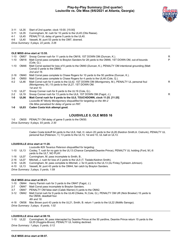

3-11 UL35 Start of 2nd quarter, clock 15:00. [15:00]

3-11 UL35 Cunningham, M. rush for 10 yards to the UL45 (Otis Reese).

4-1 UL45 PENALTY UL delay of game 5 yards to the UL40.

4-6 UL40 Vassett, M. punt 53 yards to the OM7, downed.

*Drive Summary: 5 plays, 22 yards, 3:26*

#### **OLE MISS drive start at 13:55.**

| 1-10     | OM07             | Snoop Conner rush for 11 yards to the OM18, 1ST DOWN OM (Duncan, K.).                                                                                   | R  |
|----------|------------------|---------------------------------------------------------------------------------------------------------------------------------------------------------|----|
| $1 - 10$ | OM18             | Matt Corral pass complete to Braylon Sanders for 28 yards to the OM46, 1ST DOWN OM, out-of-bounds<br>(Cole, Q.).                                        | P  |
| $1 - 10$ | OM46             | Matt Corral sacked for loss of 6 yards to the OM40 (Duncan, K.), PENALTY OM intentional grounding (Matt<br>Corral) 0 yards to the OM40.                 |    |
|          |                  | 2nd and $16$ .                                                                                                                                          |    |
| $2 - 16$ | OM40             | Matt Corral pass complete to Chase Rogers for 10 yards to the 50 yardline (Duncan, K.).                                                                 |    |
| 3-6      | OM <sub>50</sub> | Matt Corral pass complete to Chase Rogers for 4 yards to the UL46 (Cole, Q.).                                                                           |    |
| $4 - 2$  | UL46             | Matt Corral rush for 4 yards to the UL42, 1ST DOWN OM (Montgomery, M.), PENALTY UL personal foul<br>(Montgomery, M.) 15 yards to the UL27, 1ST DOWN OM. | R. |
|          |                  | 1st and 10.                                                                                                                                             |    |
| $1 - 10$ | <b>UL27</b>      | Snoop Conner rush for 8 yards to the UL19 (Cole, Q.).                                                                                                   |    |
| $2 - 2$  | <b>UL19</b>      | Snoop Conner rush for 13 yards to the UL6, 1ST DOWN OM (Fagot, J.).                                                                                     | R. |
| $1 - 0$  | UL06             | Matt Corral rush for 6 yards to the UL0, TOUCHDOWN, clock 11:25. [11:25]                                                                                |    |
|          |                  | Louisville #7 Monty Montgomery disqualified for targeting on the 4th-2                                                                                  |    |
|          |                  | Ole Miss penalized for delay of game on PAT.                                                                                                            |    |
| $1 - 0$  | UL03             | Caden Costa kick attempt good.                                                                                                                          |    |
|          |                  |                                                                                                                                                         |    |

#### **LOUISVILLE 0, OLE MISS 16**

1-0 OM35 PENALTY OM delay of game 5 yards to the OM30. *Drive Summary: 9 plays, 93 yards, 2:30*

> Caden Costa kickoff 64 yards to the UL6, Hall, H. return 20 yards to the UL26 (Keidron Smith;A. Cistrunk), PENALTY UL personal foul (Peterson, T.) 13 yards to the UL13, 1st and 10, UL ball on UL13.

#### **LOUISVILLE drive start at 11:20.**

*Louisville #29 Tavarius Peterson disqualified for targeting.* 1-10 UL13 Cooley, T. rush for no gain to the UL13 (Chance Campbell;Deantre Prince), PENALTY UL holding (Ford, M.) 6 yards to the UL7, NO PLAY. 1-16 UL07 Cunningham, M. pass incomplete to Smith, B.. 2-16 UL07 Mitchell, J. rush for loss of 2 yards to the UL5 (T. Tisdale;Keidron Smith). 3-18 UL05 Cunningham, M. pass complete to Mitchell, J. for 8 yards to the UL13 (AJ Finley;Tysheem Johnson). 4-10 UL13 Vassett, M. punt 43 yards to the OM44, fair catch by Braylon Sanders.

*Drive Summary: 3 plays, 0 yards, 1:59*

#### **OLE MISS drive start at 09:21.**

| 1-10     |      | OM44 Henry Parrish rush for 3 yards to the OM47 (Fagot, J.).                                                                                            |
|----------|------|---------------------------------------------------------------------------------------------------------------------------------------------------------|
| $2 - 7$  | OM47 | Matt Corral pass incomplete to Braylon Sanders.                                                                                                         |
| $3 - 7$  | OM47 | PENALTY OM false start (Caleb Warren) 5 yards to the OM42.                                                                                              |
| $3 - 12$ |      | OM42 Matt Corral rush for 9 yards to the UL49 (Okeke, N.;Cole, Q.), PENALTY OM UR (Nick Broeker) 15 yards to<br>the OM36, deadball foul.<br>4th and 18. |
|          |      |                                                                                                                                                         |
| 4-18     |      | OM36 Mac Brown punt 43 yards to the UL21, Smith, B. return 1 yards to the UL22 (MoMo Sanogo).                                                           |
|          |      | Drive Summary: 3 plays, -8 yards, 1:02                                                                                                                  |

#### **LOUISVILLE drive start at 08:19.**

1-10 UL22 Cunningham, M. pass intercepted by Deantre Prince at the 50 yardline, Deantre Prince return 15 yards to the UL35 (Huggins-Bruce), PENALTY UL holding declined.

*Drive Summary: 1 plays, 0 yards, 0:12*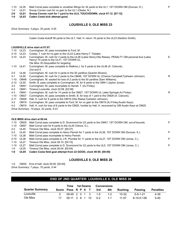1-10 UL35 Matt Corral pass complete to Jonathan Mingo for 34 yards to the UL1, 1ST DOWN OM (Duncan, K.). P

1-0 UL01 Snoop Conner rush for no gain to the UL1 (Okeke, N.).

**2-0 UL01 Snoop Conner rush for 1 yard to the UL0, TOUCHDOWN, clock 07:12. [07:12]**

**1-0 UL03 Caden Costa kick attempt good.**

#### **LOUISVILLE 0, OLE MISS 23**

*Drive Summary: 3 plays, 35 yards, 0:55*

Caden Costa kickoff 58 yards to the UL7, Hall, H. return 16 yards to the UL23 (Keidron Smith).

#### **LOUISVILLE drive start at 07:07.**

| 1-10     | <b>UL23</b>      | Cunningham, M. pass incomplete to Ford, M                                                                                                           |   |
|----------|------------------|-----------------------------------------------------------------------------------------------------------------------------------------------------|---|
| $2 - 10$ | <b>UL23</b>      | Cooley, T. rush for no gain to the UL23 (Lakia Henry; T. Tisdale).                                                                                  |   |
| $3 - 10$ | UL23             | Cunningham, M. rush for 3 yards to the UL26 (Lakia Henry; Otis Reese), PENALTY OM personal foul (Lakia<br>Henry) 15 yards to the UL41, 1ST DOWN UL. | Е |
|          |                  | Ole Miss 30 Disqualifed for targeting.                                                                                                              |   |
|          | 1-10 UL41        | Cunningham, M. pass complete to Watkins, J. for 5 yards to the UL46 (A. Cistrunk).                                                                  |   |
|          |                  | 2nd and 5.                                                                                                                                          |   |
| $2 - 5$  | UL46             | Cunningham, M. rush for 4 yards to the 50 yardline (Quentin Bivens).                                                                                |   |
| $3 - 1$  | <b>UL50</b>      | Cunningham, M. rush for 2 yards to the OM48, 1ST DOWN UL (Chance Campbell; Tysheem Johnson).                                                        | R |
| $1 - 10$ | OM48             | Cunningham, M. sacked for loss of 2 yards to the 50 yardline (Sam Williams).                                                                        |   |
| $2 - 12$ | <b>UL50</b>      | Smith, B. pass complete to Cunningham, M. for 9 yards to the OM41 (Jaylon Jones).                                                                   |   |
| $3 - 3$  | OM41             | Cunningham, M. pass incomplete to Harrell, T. (AJ Finley).                                                                                          |   |
| $4 - 3$  | OM41             | Timeout Louisville, clock 02:58. [02:58]                                                                                                            |   |
| $4 - 3$  | OM41             | Cunningham, M. rush for 14 yards to the OM27, 1ST DOWN UL (Jake Springer; AJ Finley).                                                               | R |
| $1 - 10$ | OM27             | Cunningham, M. pass complete to Smith, B. for loss of 1 yard to the OM28 (A. Cistrunk).                                                             |   |
| $2 - 11$ | OM <sub>28</sub> | Hall, H. rush for 9 yards to the OM19 (Otis Reese; Tysheem Johnson).                                                                                |   |
| $3 - 2$  | OM <sub>19</sub> | Cunningham, M. pass complete to Ford, M. for no gain to the OM19 (AJ Finley; Austin Keys).                                                          |   |
| $4 - 2$  | OM <sub>19</sub> | Hall, H. rush for loss of 6 yards to the OM25, fumble by Hall, H. recovered by OM Austin Keys at OM25.                                              |   |
|          |                  | Drive Summary: 14 plays, 52 yards, 6:23                                                                                                             |   |
|          |                  |                                                                                                                                                     |   |

#### **OLE MISS drive start at 00:44.**

| 1-10    | OM25        | Matt Corral pass complete to D. Drummond for 22 yards to the OM47, 1ST DOWN OM, out-of-bounds. | P |
|---------|-------------|------------------------------------------------------------------------------------------------|---|
| 1-10    | OM47        | Matt Corral rush for 8 yards to the UL45 (Vance, G.).                                          |   |
| $2 - 2$ | UL45        | Timeout Ole Miss, clock 00:27, [00:27]                                                         |   |
| $2 - 2$ | UL45        | Matt Corral pass complete to Henry Parrish for 7 yards to the UL38, 1ST DOWN OM (Duncan, K.).  | P |
| 1-10    | UL38        | Matt Corral pass incomplete to Henry Parrish.                                                  |   |
| 2-10    | UL38        | Matt Corral pass complete to J.R. Plumlee for 11 yards to the UL27, 1ST DOWN OM (Jones, C.).   | P |
| 1-10    | UL27        | Timeout Ole Miss, clock 00:10, [00:10]                                                         |   |
| 1-10    | <b>UL27</b> | Matt Corral pass complete to D. Drummond for 22 yards to the UL5, 1ST DOWN OM (Jones, C.).     | P |
| 1-0     | UL05        | Timeout Ole Miss, clock 00:04. [00:04]                                                         |   |
| 1-0     | UL05        | Caden Costa field goal attempt from 22 GOOD, clock 00:00. [00:00]                              |   |

#### **LOUISVILLE 0, OLE MISS 26**

1-0 OM35 End of half, clock 00:00. [00:00] *Drive Summary: 7 plays, 70 yards, 0:44*

# **END OF 2ND QUARTER: LOUISVILLE 0, OLE MISS 26**

|                        |                    | Time | 1st Downs |  |  |  | Conversions        |         |           |            |                  |  |
|------------------------|--------------------|------|-----------|--|--|--|--------------------|---------|-----------|------------|------------------|--|
| <b>Quarter Summary</b> | Score Poss R P X T |      |           |  |  |  | 3rd                | 4th     | Rushing   | Passing    | <b>Penalties</b> |  |
| Louisville             |                    |      |           |  |  |  | 09:49 2 0 1 3 1-5  | $1 - 2$ | $10 - 32$ | $5-9-1-21$ | 4-39             |  |
| Ole Miss               |                    |      |           |  |  |  | 05:11 3 6 1 10 0-2 | $-1-1$  | $11 - 57$ | 8-10-0-138 | $5-40$           |  |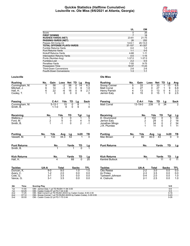#### **Quickie Statistics (Halftime Cumulative) Louisville vs. Ole Miss (9/6/2021 at Atlanta, Georgia)**



|                              |                                                                                                       |                                               | UL                  | OM                     |                       |                              |                 |
|------------------------------|-------------------------------------------------------------------------------------------------------|-----------------------------------------------|---------------------|------------------------|-----------------------|------------------------------|-----------------|
|                              | Score                                                                                                 |                                               | $\Omega$            | 26                     |                       |                              |                 |
|                              | <b>FIRST DOWNS</b>                                                                                    |                                               | $\overline{7}$      | 18                     |                       |                              |                 |
|                              | <b>RUSHES-YARDS (NET)</b><br><b>PASSING-YARDS (NET)</b>                                               |                                               | 23-81<br>26         | 21-75<br>252           |                       |                              |                 |
|                              | Passes Att-Comp-Int                                                                                   |                                               | 14-6-1              | $20 - 13 - 0$          |                       |                              |                 |
|                              | <b>TOTAL OFFENSE PLAYS-YARDS</b>                                                                      |                                               | 37-107              | 41-327                 |                       |                              |                 |
|                              | Fumble Returns-Yards                                                                                  |                                               | $0-0$               | $1 - 0$                |                       |                              |                 |
|                              | <b>Punt Returns-Yards</b>                                                                             |                                               | $1 - 1$             | $0-0$                  |                       |                              |                 |
|                              | Kickoff Returns-Yards                                                                                 |                                               | 4-68                | $1 - 11$               |                       |                              |                 |
|                              | Interception Returns-Yards                                                                            |                                               | $0-0$               | $1 - 15$               |                       |                              |                 |
|                              | Punts (Number-Avg)                                                                                    |                                               | $1 - 37.0$          | $1 - 37.0$             |                       |                              |                 |
|                              | Fumbles-Lost<br>Penalties-Yards                                                                       |                                               | $2 - 2$<br>$7 - 55$ | $0-0$<br>$9 - 75$      |                       |                              |                 |
|                              | <b>Possession Time</b>                                                                                |                                               | 18:37               | 11:23                  |                       |                              |                 |
|                              | <b>Third-Down Conversions</b>                                                                         |                                               | $2 - 8$             | $2 - 6$                |                       |                              |                 |
|                              | Fourth-Down Conversions                                                                               |                                               | $1 - 3$             | $1 - 1$                |                       |                              |                 |
| Louisville                   |                                                                                                       | <b>Ole Miss</b>                               |                     |                        |                       |                              |                 |
| Rushing                      | Net TD Lg<br>No.<br>Gain<br>Loss<br>Avg                                                               | <b>Rushing</b>                                | No.                 | Gain                   | Net TD<br>Loss        | Lg                           | Avg             |
| Cunningham, M.               | -2<br>56<br>9<br>58<br>0<br>14<br>6.2                                                                 | Snoop Conner                                  | 5                   | 33                     | 33<br>0               | 13<br>1                      | 6.6             |
| Mitchell, J.                 | 6<br>14<br>$-3$<br>11<br>0<br>6<br>1.8                                                                | <b>Matt Corral</b>                            | 4                   | 27                     | 27<br>0               | 9<br>1                       | 6.8             |
| Hall. H.                     | 9<br>22<br>-6<br>0<br>2.7<br>6<br>16                                                                  | Henry Parrish                                 | 4                   | 13                     | 0<br>13               | $\overline{\mathbf{4}}$<br>0 | 3.3             |
| Cooley, T.                   | $\mathbf{0}$<br>0<br>$\Omega$<br>0<br>1<br>0                                                          | Jerrion Ealy                                  | 6                   | 15                     | 15<br>0               | $\mathbf{1}$<br>9            | 2.5             |
| Passing                      |                                                                                                       |                                               |                     |                        |                       |                              |                 |
| Cunningham, M.               | C-A-I<br>Yds<br>TD<br>Sack<br>Lg<br>5-12-1<br>15<br>0<br>8<br>1                                       | Passing<br><b>Matt Corral</b>                 |                     | C-A-I<br>$13 - 19 - 0$ | Yds<br>TD<br>239<br>0 | Lg<br>34                     | <b>Sack</b>     |
| Smith, B.                    | $\mathbf 0$<br>9<br>$1 - 1 - 0$<br>9<br>0                                                             |                                               |                     |                        |                       |                              |                 |
|                              |                                                                                                       |                                               |                     |                        |                       |                              |                 |
| Receiving<br>Watkins, J.     | Yds<br>TD<br>No.<br>Tgt<br><u>Lg</u><br>0<br>5<br>5<br>1                                              | Receiving<br>D. Drummond                      |                     | No.<br>4               | Yds<br>TD<br>102<br>0 | Tgt                          | $\frac{Lg}{34}$ |
| Ford, M.                     | 1<br>5<br>2<br>5<br>0<br>4                                                                            | Jerrion Ealy                                  |                     | 2                      | 29<br>0               | $\frac{5}{2}$                | 18              |
| Smith, B.                    | $\overline{2}$<br>$-1$<br>$-1$<br>0<br>1                                                              | Jonathan Mingo                                |                     | $\mathbf 1$            | 34<br>0               |                              | 34              |
|                              |                                                                                                       | J.R. Plumlee                                  |                     | $\mathbf 1$            | 11<br>0               | $\mathbf{1}$                 | 11              |
| <b>Punting</b>               | No.<br>Yds<br>In20<br>Avg<br>Lg<br>TВ                                                                 | <b>Punting</b>                                | No.                 | Yds                    | Avg<br>Lg             | In20                         | TВ              |
| Vassett, M.                  | 3<br>133<br>44.3<br>53<br>$\Omega$                                                                    | Mac Brown                                     | 2                   | 80                     | 40.0<br>43            | 0                            | $\Omega$        |
| <b>Punt Returns</b>          |                                                                                                       | <b>Punt Returns</b>                           |                     |                        |                       | TD                           |                 |
| Smith, B.                    | No.<br>Yards<br>TD<br>Lg                                                                              |                                               |                     | No.                    | Yards                 |                              | <u>Lg</u>       |
|                              |                                                                                                       |                                               |                     |                        |                       |                              |                 |
| <b>Kick Returns</b>          | No.<br>Yards<br>TD<br>Lg<br>$\overline{20}$<br>$\Omega$<br>4                                          | <b>Kick Returns</b><br><b>Kentrel Bullock</b> |                     | No.                    | Yards<br>11           | TD<br>$\Omega$               | <u>Lg</u><br>11 |
| Hall, H.                     | 68                                                                                                    |                                               |                     |                        |                       |                              |                 |
| <b>Tackles</b>               | UA-A<br><b>Total</b><br><b>Sacks</b><br><b>TFL</b>                                                    | <b>Tackles</b>                                |                     | UA-A                   | <b>Total</b>          | <b>Sacks</b>                 | <b>TFL</b>      |
| Duncan, K.                   | 9.0<br>1.0<br>$9-0$<br>1.0                                                                            | <b>Otis Reese</b>                             |                     | $2 - 2$                | 3.0                   | 0.0                          | 0.0             |
| Avery, C.                    | $1 - 2$<br>2.0<br>0.0<br>0.0                                                                          | AJ Finley                                     |                     | $2 - 3$                | 3.5                   | 0.0                          | 0.0             |
| Cole, Q.                     | 0.0<br>3-1<br>3.5<br>0.0                                                                              | Tysheem Johnson                               |                     | $0 - 4$                | 2.0                   | 0.0                          | 1.0             |
| Vance, G.                    | 3-1<br>3.5<br>0.0<br>0.0                                                                              | A. Cistrunk                                   |                     | $2 - 1$                | 2.5                   | 0.0                          | 1.0             |
| Qtr<br>Time                  | <b>Scoring Play</b>                                                                                   |                                               |                     |                        |                       | V-H                          |                 |
| 11:55<br>1st                 | OM - Jerrion Ealy 1 yd TD RUSH 11-94 3:05                                                             |                                               |                     |                        |                       | $0-6$                        |                 |
| 02:25<br>1st<br>11:25<br>2nd | OM - Caden Costa 47 yd FG 7-44 2:46<br>OM - Matt Corral 6 yd TD RUSH (KICK by Caden Costa), 9-93 2:30 |                                               |                     |                        |                       | $0-9$<br>$0 - 16$            |                 |
| 07:12<br>2nd                 | OM - Snoop Conner 1 yd TD RUSH (KICK by Caden Costa), 3-35 0:55                                       |                                               |                     |                        |                       | $0 - 23$                     |                 |
| 00:00<br>2nd                 | OM - Caden Costa 22 yd FG 7-70 0:44                                                                   |                                               |                     |                        |                       | $0 - 26$                     |                 |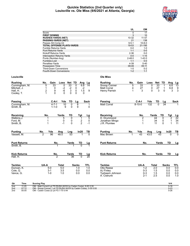#### **Quickie Statistics (2nd Quarter only) Louisville vs. Ole Miss (9/6/2021 at Atlanta, Georgia)**



|                           |                                                          |                          |                    |                |                      | UL                   | ΟM                     |             |             |                    |                      |
|---------------------------|----------------------------------------------------------|--------------------------|--------------------|----------------|----------------------|----------------------|------------------------|-------------|-------------|--------------------|----------------------|
|                           | Score                                                    |                          |                    |                |                      | $\Omega$             |                        | 17          |             |                    |                      |
|                           | <b>FIRST DOWNS</b>                                       |                          |                    |                |                      | 3                    |                        | 10          |             |                    |                      |
|                           | <b>RUSHES-YARDS (NET)</b>                                |                          |                    |                |                      | 10-32                | $11 - 57$              |             |             |                    |                      |
|                           | <b>PASSING-YARDS (NET)</b>                               |                          |                    |                |                      | 21                   | 138                    |             |             |                    |                      |
|                           | Passes Att-Comp-Int<br>TOTAL OFFENSE PLAYS-YARDS         |                          |                    |                |                      | $9 - 5 - 1$<br>19-53 | $10 - 8 - 0$<br>21-195 |             |             |                    |                      |
|                           | Fumble Returns-Yards                                     |                          |                    |                |                      | $0-0$                |                        | $1 - 0$     |             |                    |                      |
|                           | Punt Returns-Yards                                       |                          |                    |                |                      | $1 - 1$              | $0-0$                  |             |             |                    |                      |
|                           | Kickoff Returns-Yards                                    |                          |                    |                |                      | $2 - 36$             |                        | $0-0$       |             |                    |                      |
|                           | <b>Interception Returns-Yards</b>                        |                          |                    |                |                      | $0-0$                | $1 - 15$               |             |             |                    |                      |
|                           | Punts (Number-Avg)                                       |                          |                    |                |                      | $2 - 48.0$           | $1 - 43.0$             |             |             |                    |                      |
|                           | Fumbles-Lost                                             |                          |                    |                |                      | $1 - 1$              | $0-0$                  |             |             |                    |                      |
|                           | Penalties-Yards                                          |                          |                    |                |                      | 4-39                 | $5 - 40$               |             |             |                    |                      |
|                           | <b>Possession Time</b>                                   |                          |                    |                |                      | 09:49                | 05:11                  |             |             |                    |                      |
|                           | <b>Third-Down Conversions</b><br>Fourth-Down Conversions |                          |                    |                |                      | $1 - 5$<br>$1 - 2$   | $0 - 2$                | $1 - 1$     |             |                    |                      |
|                           |                                                          |                          |                    |                |                      |                      |                        |             |             |                    |                      |
| Louisville                |                                                          |                          |                    |                | <b>Ole Miss</b>      |                      |                        |             |             |                    |                      |
| Rushing                   | No.<br>Gain                                              | Loss<br>Net TD           | Avg                | Lg             | <b>Rushing</b>       | No.                  | Gain                   | Loss        | Net         | TD<br>Avg          | Lg                   |
| Cunningham, M.            | 33<br>5                                                  | 33<br>0                  | 0<br>6.6           | 14             | Snoop Conner         | 5                    | 33                     | 0           | 33          | 6.6                | $\overline{13}$      |
| Mitchell, J.              | 1<br>0                                                   | $-2$<br>$\frac{-2}{3}$   | 0<br>$-2$          |                | Matt Corral          | 4                    | 27                     | 0           | 27          | $\mathbf 1$<br>6.8 | 9                    |
| Hall, H.                  | $\overline{\mathbf{c}}$<br>9                             | $-6$                     | 1.5<br>$\mathsf 0$ | 9              | Henry Parrish        | 1                    | 3                      | $\Omega$    | 3           | $\Omega$           | 3<br>3               |
| Cooley, T.                | $\mathbf{0}$<br>$\mathbf 1$                              | $\Omega$<br>$\mathbf{0}$ | 0<br>0             |                |                      |                      |                        |             |             |                    |                      |
|                           | C-A-I                                                    | TD<br>Yds                | Lg                 | Sack           | Passing              |                      | C-A-I                  | Yds         | TD          | Lq                 | Sack                 |
| Passing<br>Cunningham, M. | $4 - 7 - 1$                                              | 10<br>0                  | 8                  | 1              | <b>Matt Corral</b>   |                      | $8 - 10 - 0$           | 132         | $\Omega$    | $\overline{34}$    |                      |
| Smith, B.                 | $1 - 1 - 0$                                              | 9<br>0                   | 9                  | $\mathbf{0}$   |                      |                      |                        |             |             |                    |                      |
| Receiving                 | No.                                                      | TD<br>Yards              | Tgt                | Lg             | Receiving            |                      | No.                    |             | Yards<br>TD | Tgt                |                      |
| Watkins,J.                | 1                                                        | 0<br>5                   | 1                  | 5              | D. Drummond          |                      | 2                      |             | 44          | 0<br>2             | $\frac{Lg}{22}$      |
| Ford, M.                  | 1                                                        | $\pmb{0}$<br>0           | $\overline{c}$     | $\mathbf 0$    | Jonathan Mingo       |                      | 1                      |             | 34          | 0<br>1             | 34                   |
| Smith, B.                 | 1                                                        | $-1$<br>0                | $\overline{2}$     | $-1$           | J.R. Plumlee         |                      | 1                      |             | 11          | 0<br>1             | 11                   |
|                           |                                                          |                          |                    |                |                      |                      |                        |             |             |                    |                      |
| Punting<br>Vassett. M.    | No.<br>Yds<br>$\overline{96}$<br>2                       | Lng<br>Avg<br>48.0<br>53 | ln20               | тв<br>$\Omega$ | Punting<br>Mac Brown | No.<br>1             | Yds<br>43              | Avg<br>43.0 | Lng<br>43   | In20<br>0          | TВ<br>$\overline{0}$ |
|                           |                                                          |                          |                    |                |                      |                      |                        |             |             |                    |                      |
| Punt Returns              | No.                                                      | Yards                    | TD                 | Lg             | <b>Punt Returns</b>  |                      | No.                    |             | Yards       | TD                 | Lg                   |
| Smith, B.                 |                                                          |                          |                    |                |                      |                      |                        |             |             |                    |                      |
|                           |                                                          |                          |                    |                |                      |                      |                        |             |             | TD                 |                      |
| Kick Returns<br>Hall, H.  | No.<br>2                                                 | Yards<br>36              | TD<br><sup>0</sup> | Lg<br>20       | <b>Kick Returns</b>  |                      | No.                    |             | Yards       |                    | Lg                   |
|                           |                                                          |                          |                    |                |                      |                      |                        |             |             |                    |                      |
| <b>Tackles</b>            | UA-A                                                     | Total                    | Sacks              | TFL            | <b>Tackles</b>       |                      | UA-A                   |             | Total       | <b>Sacks</b>       | TFL                  |
| Duncan, K.                | $5-0$                                                    | 5.0                      | 1.0                | 1.0            | <b>Otis Reese</b>    |                      | $1 - 2$                |             | 2.0         | 0.0                | 0.0                  |
| Cole, Q.                  | 3-1                                                      | 3.5                      | 0.0                | 0.0            | AJ Finley            |                      | $0 - 3$                |             | 1.5         | 0.0                | 0.0                  |
| Vance, G.                 | $1 - 0$                                                  | 1.0                      | 0.0                | 0.0            | Tysheem Johnson      |                      | $0 - 3$                |             | 1.5         | 0.0                | 0.0                  |
|                           |                                                          |                          |                    |                | A. Cistrunk          |                      | $2 - 1$                |             | 2.5         | 0.0                | 1.0                  |
|                           |                                                          |                          |                    |                |                      |                      |                        |             |             |                    |                      |

| Qtr | Time  | <b>Scoring Play</b>                                             | $V +$    |
|-----|-------|-----------------------------------------------------------------|----------|
| 2nd | 11:25 | OM - Matt Corral 6 yd TD RUSH (KICK by Caden Costa), 9-93 2:30  | $0 - 16$ |
| 2nd | 07:12 | OM - Snoop Conner 1 yd TD RUSH (KICK by Caden Costa), 3-35 0:55 | $0 - 23$ |
| 2nd | 00:00 | OM - Caden Costa 22 yd FG 7-70 0:44                             | $0 - 26$ |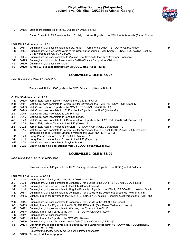# **Play-by-Play Summary (3rd quarter) Louisville vs. Ole Miss (9/6/2021 at Atlanta, Georgia)**



1-0 OM35 Start of 3rd quarter, clock 15:00, OM ball on OM35. [15:00]

Caden Costa kickoff 65 yards to the UL0, Hall, H. return 59 yards to the OM41, out-of-bounds (Caden Costa).

#### **LOUISVILLE drive start at 14:52.**

1-10 OM41 Cunningham, M. pass complete to Ford, M. for 17 yards to the OM24, 1ST DOWN UL (AJ Finley). P

1-10 OM24 Cunningham, M. rush for 21 yards to the OM3, out-of-bounds (Tylan Knight), PENALTY UL holding (Bentley, C.) 10 yards to the OM34, NO PLAY.

- 1-20 OM34 Cunningham, M. pass complete to Watkins,J. for 9 yards to the OM25 (Tysheem Johnson).
- 2-11 OM25 Cunningham, M. rush for 5 yards to the OM20 (Chance Campbell;A. Cistrunk).
- 3-6 OM20 Cunningham, M. pass incomplete.
- **4-6 OM20 Turner, J. field goal attempt from 38 GOOD, clock 12:35. [12:35]**

#### **LOUISVILLE 3, OLE MISS 26**

*Drive Summary: 5 plays, 21 yards, 2:17*

Travelstead, B. kickoff 60 yards to the OM5, fair catch by Kentrel Bullock.

#### **OLE MISS drive start at 12:35.**

| $1 - 10$ | OM <sub>25</sub> | Jerrion Ealy rush for loss of 8 yards to the OM17 (Clark, K.).                                                                                                                   |   |
|----------|------------------|----------------------------------------------------------------------------------------------------------------------------------------------------------------------------------|---|
| $2 - 18$ | OM <sub>17</sub> | Matt Corral pass complete to Jerrion Ealy for 22 yards to the OM39, 1ST DOWN OM (Clark, K.).                                                                                     | P |
| $1 - 10$ | OM39             | Matt Corral rush for 10 yards to the OM49, 1ST DOWN OM (Gillotte, A.).                                                                                                           | R |
| $1 - 10$ | OM49             | Matt Corral pass complete to J.R. Plumlee for 5 yards to the UL46 (Vance, G.).                                                                                                   |   |
| $2 - 5$  | UL46             | Matt Corral pass incomplete to J.R. Plumlee.                                                                                                                                     |   |
| $3-5$    | UL46             | Matt Corral pass incomplete to Jonathan Mingo.                                                                                                                                   |   |
| $4 - 5$  | <b>UL46</b>      | Matt Corral pass complete to D. Drummond for 17 yards to the UL29, 1ST DOWN OM (Duncan, K.).                                                                                     | P |
| $1 - 10$ | <b>UL29</b>      | Jerrion Ealy rush for 7 yards to the UL22 (Okeke, N.).                                                                                                                           |   |
| $2 - 3$  | <b>UL22</b>      | Jerrion Ealy rush for 7 yards to the UL15, 1ST DOWN OM (Avery, C.; Abdullah, Y.).                                                                                                | R |
| $1 - 10$ | <b>UL15</b>      | Matt Corral pass complete to Jerrion Ealy for 15 yards to the UL0, clock 09:40, PENALTY OM ineligible<br>downfield on pass (Orlando Umana) 5 yards to the UL20, NO PLAY. [09:40] |   |
| $1 - 15$ | <b>UL20</b>      | Henry Parrish rush for 1 yard to the UL19 (Vance, G.).                                                                                                                           |   |
| $2 - 14$ | <b>UL19</b>      | Henry Parrish rush for loss of 1 yard to the UL20 (Fagot, J.).                                                                                                                   |   |
| $3 - 15$ | <b>UL20</b>      | Matt Corral pass incomplete to Braylon Sanders.                                                                                                                                  |   |
|          |                  |                                                                                                                                                                                  |   |

**4-15 UL20 Caden Costa field goal attempt from 38 GOOD, clock 08:22. [08:22]**

#### **LOUISVILLE 3, OLE MISS 29**

*Drive Summary: 13 plays, 55 yards, 4:13*

Cale Nation kickoff 45 yards to the UL20, Burkley, M. return 10 yards to the UL30 (Kentrel Bullock).

#### **LOUISVILLE drive start at 08:15.**

| $1 - 10$ | <b>UL30</b>      | Mitchell, J. rush for 8 yards to the UL38 (Keidron Smith).                                                         |   |
|----------|------------------|--------------------------------------------------------------------------------------------------------------------|---|
| $2 - 2$  | <b>UL38</b>      | Cunningham, M. pass complete to Johnson, J. for 5 yards to the UL43, 1ST DOWN UL (AJ Finley).                      | P |
| $1 - 10$ | <b>UL43</b>      | Cunningham, M. rush for 1 yard to the UL44 (Deane Leonard).                                                        |   |
| $2-9$    | <b>UL44</b>      | Cunningham, M. pass complete to Huggins-Bruce for 12 yards to the OM44, 1ST DOWN UL (Keidron Smith).               | P |
| $1 - 10$ | OM44             | Cunningham, M. pass complete to Johnson, J. for 9 yards to the OM35, out-of-bounds (Keidron Smith).                |   |
| $2 - 1$  | OM35             | Mitchell, J. rush for 10 yards to the OM25 (3), PENALTY UL holding (Chandler, C.) 9 yards to the OM44, NO<br>PLAY. |   |
| $2 - 10$ | OM44             | Cunningham, M. pass complete to Johnson, J. for 5 yards to the OM39 (Otis Reese).                                  |   |
| $3 - 5$  | OM39             | Mitchell, J. rush for 17 yards to the OM22, 1ST DOWN UL (Otis Reese; Tysheem Johnson).                             | R |
| $1 - 10$ | OM22             | Cunningham, M. pass complete to Watkins, J. for 7 yards to the OM15.                                               |   |
| $2 - 3$  | OM <sub>15</sub> | Mitchell, J. rush for 4 yards to the OM11, 1ST DOWN UL (Austin Keys).                                              | R |
| $1 - 10$ | <b>OM11</b>      | Cunningham, M. pass incomplete.                                                                                    |   |
| $2 - 10$ | OM <sub>11</sub> | Mitchell, J. rush for 5 yards to the OM6 (Otis Reese).                                                             |   |
| $3 - 5$  | OM <sub>06</sub> | Cunningham, M. rush for 2 yards to the OM4 (Chance Campbell; AJ Finley).                                           |   |
| 4-3      | OM04             | Cunningham, M. pass complete to Smith, B. for 4 yards to the OM0, 1ST DOWN UL, TOUCHDOWN,<br>clock 01:58. [01:58]  | P |
|          |                  | Roughing the passer penalty on Ole Miss enforced on kickoff                                                        |   |

**1-0 OM03 Turner, J. kick attempt good.**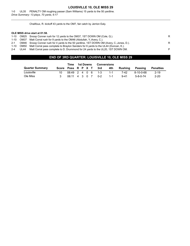# **LOUISVILLE 10, OLE MISS 29**

1-0 UL35 PENALTY OM roughing passer (Sam Williams) 15 yards to the 50 yardline. *Drive Summary: 13 plays, 70 yards, 6:17*

Chalifoux, R. kickoff 43 yards to the OM7, fair catch by Jerrion Ealy.

#### **OLE MISS drive start at 01:58.**

| 1-10    | OM25 Snoop Conner rush for 12 yards to the OM37, 1ST DOWN OM (Cole, Q.).                  | R |
|---------|-------------------------------------------------------------------------------------------|---|
| 1-10    | OM37 Matt Corral rush for 9 yards to the OM46 (Abdullah, Y.;Avery, C.).                   |   |
| $2 - 1$ | OM46 Snoop Conner rush for 4 yards to the 50 yardline, 1ST DOWN OM (Avery, C.;Jones, D.). | R |
| 1-10    | OM50 Matt Corral pass complete to Braylon Sanders for 6 yards to the UL44 (Duncan, K.).   |   |
| $2 - 4$ | UL44 Matt Corral pass complete to D. Drummond for 24 yards to the UL20, 1ST DOWN OM.      | P |

# **END OF 3RD QUARTER: LOUISVILLE 10, OLE MISS 29**

|                        |       | Time          | <b>1st Downs</b><br><b>Conversions</b> |  |  |         |         |          |                  |                  |
|------------------------|-------|---------------|----------------------------------------|--|--|---------|---------|----------|------------------|------------------|
| <b>Quarter Summary</b> | Score | Poss R P X T  |                                        |  |  | 3rd     | 4th     | Rushina  | Passing          | <b>Penalties</b> |
| Louisville             | 10    | 08:49 2 4 0 6 |                                        |  |  | $-1-3$  | $1 - 1$ | 7-42     | $8-10-0-68$      | $2 - 19$         |
| Ole Miss               |       | 06:11 4 3 0 7 |                                        |  |  | $0 - 2$ | $1 - 1$ | $9 - 41$ | $5 - 8 - 0 - 74$ | $2 - 20$         |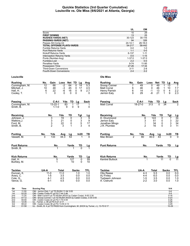#### **Quickie Statistics (3rd Quarter Cumulative) Louisville vs. Ole Miss (9/6/2021 at Atlanta, Georgia)**



|                                   | UL            | OM         |
|-----------------------------------|---------------|------------|
| Score                             | 10            | 29         |
| <b>FIRST DOWNS</b>                | 13            | 25         |
| <b>RUSHES-YARDS (NET)</b>         | 30-123        | 30-116     |
| <b>PASSING-YARDS (NET)</b>        | 94            | 326        |
| Passes Att-Comp-Int               | $24 - 14 - 1$ | $28-18-0$  |
| <b>TOTAL OFFENSE PLAYS-YARDS</b>  | 54-217        | 58-442     |
| Fumble Returns-Yards              | $0 - 0$       | $1 - 0$    |
| <b>Punt Returns-Yards</b>         | $1 - 1$       | $0 - 0$    |
| <b>Kickoff Returns-Yards</b>      | 6-137         | $1 - 11$   |
| <b>Interception Returns-Yards</b> | $0 - 0$       | $1 - 15$   |
| Punts (Number-Avg)                | $1 - 37.0$    | $1 - 37.0$ |
| Fumbles-Lost                      | $2 - 2$       | $0 - 0$    |
| Penalties-Yards                   | $9 - 74$      | $11 - 95$  |
| Possession Time                   | 27:26         | 17:34      |
| <b>Third-Down Conversions</b>     | $3 - 11$      | $2 - 8$    |
| <b>Fourth-Down Conversions</b>    | $2 - 4$       | $2 - 2$    |

#### **Louisville Ole Miss**

| <b>Rushing</b> | No. | Gain | Loss | Net TD | La | Ava |
|----------------|-----|------|------|--------|----|-----|
| Cunningham, M. | 12  | 66   | -2   | 64     | 14 | 5.3 |
| Mitchell, J.   | 10  | 48   | -3   | 45     |    | 4.5 |
| Hall. H.       | 6   | 22   | -6   | 16     | 9  | 27  |
| Cooley, T.     |     |      |      |        |    |     |

| Passing             |      | C-A-I         | Yds                | TD                                         | Lg                                          | Sack                                 |
|---------------------|------|---------------|--------------------|--------------------------------------------|---------------------------------------------|--------------------------------------|
| Cunningham, M.      |      | $13 - 22 - 1$ | 83                 | 1                                          | 17                                          |                                      |
| Smith, B.           |      | $1 - 1 - 0$   |                    | 9<br>0                                     | 9                                           | 0                                    |
|                     |      |               |                    |                                            |                                             |                                      |
| Receiving           |      | No.           | Yds                | TD                                         |                                             |                                      |
| Johnson, J.         |      | $\frac{3}{2}$ | 19                 | 0                                          |                                             | $\frac{\text{Lg}}{9}$ $\frac{9}{17}$ |
| Watkins, J.         |      |               |                    | 0                                          |                                             |                                      |
| Ford, M.            |      |               | $\frac{21}{22}$    | $\begin{smallmatrix}0\\1\end{smallmatrix}$ |                                             |                                      |
| Smith, B.           |      |               |                    |                                            | $\frac{Tgt}{3}$ $\frac{3}{5}$ $\frac{5}{3}$ | 4                                    |
|                     |      |               |                    |                                            |                                             |                                      |
| <b>Punting</b>      | No.  | Yds           | Avg                | $\frac{\text{Lg}}{53}$                     | ln20                                        | TВ                                   |
| Vassett, M.         | 3    | 133           | $\overline{44}$ .3 |                                            |                                             |                                      |
|                     |      |               |                    |                                            |                                             |                                      |
| <b>Punt Returns</b> |      | No.           |                    | Yards                                      | TD                                          | Lg                                   |
| Smith, B.           |      | 1             |                    | 1                                          | $\Omega$                                    |                                      |
|                     |      |               |                    |                                            |                                             |                                      |
| <b>Kick Returns</b> |      | No.           |                    | Yards                                      | TD                                          |                                      |
| Hall, H.            |      | $\frac{5}{1}$ |                    | 127                                        | 0                                           | $\frac{\text{Lg}}{59}$               |
| Burkley, M.         |      |               |                    | 10                                         | 0                                           | 10                                   |
|                     |      |               |                    |                                            |                                             |                                      |
| <b>Tackles</b>      | UA-A |               | <b>Total</b>       |                                            | Sacks                                       | TFL                                  |
| Duncan, K.          |      | $11 - 0$      | 11.0               |                                            | 1.0                                         | 1.0                                  |

Avery, C. 1-5 3.5 0.0 0.0 Cole, Q. 4-1 4.5 0.0 0.0 Vance, G. 6. 1 5.5 0.0 0.0

| <b>Rushing</b>     | No. | Gain | Loss | Net TD | La | Ava |
|--------------------|-----|------|------|--------|----|-----|
| Snoop Conner       |     | 49   |      | 49     | 13 |     |
| <b>Matt Corral</b> |     | 46   |      | 46     | 10 |     |
| Henry Parrish      |     | 14   | -1   | 13     |    | 2.2 |
| Jerrion Ealy       | 9   | 29   | -8   | 21     | 9  | 2.3 |

| Passing     | C-A-I         | Yds | TD | La  | <b>Sack</b> |
|-------------|---------------|-----|----|-----|-------------|
| Matt Corral | $18 - 27 - 0$ | 313 |    | 34  | 2           |
| Receiving   | No.           | Yds | TD | Tgt | Lg          |

| .              |   | .      | .            | . .                      | . . | -9 |
|----------------|---|--------|--------------|--------------------------|-----|----|
| D. Drummond    |   | 6      | 143          |                          |     | 34 |
| Jerrion Ealy   |   | ົ<br>J | 51           |                          |     | 22 |
| Jonathan Mingo |   |        | 34           |                          |     | 34 |
| J.R. Plumlee   |   | າ      | 16           |                          |     |    |
|                |   |        |              |                          |     |    |
| Duntina        | ᄓ | ៴៷៷    | $\mathbf{A}$ | $\overline{\phantom{a}}$ | いっへ | тв |

| <b>Punting</b>      | No. | Yds | Ava  | La    | ln20 | ΤВ |
|---------------------|-----|-----|------|-------|------|----|
| Mac Brown           | ົ   | 80  | 40.0 | 43    |      |    |
| <b>Punt Returns</b> |     | No. |      | Yards | TD   |    |

| Kick Roturne | N۵ | Varde TD In |  |
|--------------|----|-------------|--|
|              |    |             |  |

| Kick Returns    | Yards | TD |  |
|-----------------|-------|----|--|
| Kentrel Bullock |       |    |  |

| <b>Tackles</b>  | UA-A    | Total | <b>Sacks</b> | TFL. |
|-----------------|---------|-------|--------------|------|
| Otis Reese      | 4-3     | 5.5   | 0.0          | 0.0  |
| AJ Finley       | 4-4     | 6.0   | 0.0          | 0.0  |
| Tysheem Johnson | $1 - 5$ | 3.5   | 0.0          | 1.0  |
| A. Cistrunk     | $2-2$   | 3.0   | 0.0          | 1.0  |

| Qtr             | Time  | <b>Scoring Play</b>                                                              | V-H       |
|-----------------|-------|----------------------------------------------------------------------------------|-----------|
| 1st             | 11:55 | OM - Jerrion Ealy 1 yd TD RUSH 11-94 3:05                                        | $0-6$     |
| 1st             | 02:25 | OM - Caden Costa 47 yd FG 7-44 2:46                                              | $0 - 9$   |
| 2 <sub>nd</sub> | 11:25 | OM - Matt Corral 6 yd TD RUSH (KICK by Caden Costa), 9-93 2:30                   | $0 - 16$  |
| 2 <sub>nd</sub> | 07:12 | OM - Snoop Conner 1 yd TD RUSH (KICK by Caden Costa), 3-35 0:55                  | $0 - 23$  |
| 2 <sub>nd</sub> | 00:00 | OM - Caden Costa 22 yd FG 7-70 0:44                                              | $0 - 26$  |
| 3rd             | 12:35 | UL - Turner, J. 38 yd FG 5-21 2:17                                               | $3 - 26$  |
| 3rd             | 08:22 | OM - Caden Costa 38 yd FG 13-55 4:13                                             | $3-29$    |
| 3rd             | 01:58 | UL - Smith, B. 4 yd TD PASS from Cunningham, M. (KICK by Turner, J.), 13-70 6:17 | $10 - 29$ |
|                 |       |                                                                                  |           |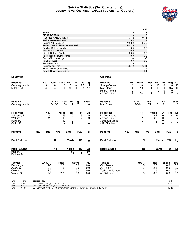#### **Quickie Statistics (3rd Quarter only) Louisville vs. Ole Miss (9/6/2021 at Atlanta, Georgia)**



|                              |                                                                                  | UL                      | OM             |                                   |                  |                                       |
|------------------------------|----------------------------------------------------------------------------------|-------------------------|----------------|-----------------------------------|------------------|---------------------------------------|
|                              | Score                                                                            | 10                      | $\overline{3}$ |                                   |                  |                                       |
|                              | <b>FIRST DOWNS</b>                                                               | 6                       | $\overline{7}$ |                                   |                  |                                       |
|                              | <b>RUSHES-YARDS (NET)</b>                                                        | $7 - 42$                | $9 - 41$       |                                   |                  |                                       |
|                              | <b>PASSING-YARDS (NET)</b>                                                       | 68                      | 74             |                                   |                  |                                       |
|                              | Passes Att-Comp-Int                                                              | $10 - 8 - 0$            | $8 - 5 - 0$    |                                   |                  |                                       |
|                              | <b>TOTAL OFFENSE PLAYS-YARDS</b>                                                 | 17-110                  | 17-115         |                                   |                  |                                       |
|                              | Fumble Returns-Yards                                                             | $0-0$                   | $0-0$          |                                   |                  |                                       |
|                              | <b>Punt Returns-Yards</b>                                                        | $0-0$                   | $0-0$          |                                   |                  |                                       |
|                              | Kickoff Returns-Yards                                                            | 2-69                    | $0-0$          |                                   |                  |                                       |
|                              | <b>Interception Returns-Yards</b>                                                | $0-0$                   | $0-0$          |                                   |                  |                                       |
|                              | Punts (Number-Avg)                                                               | $-0$                    | $-0$           |                                   |                  |                                       |
|                              | Fumbles-Lost                                                                     | $0 - 0$                 | $0-0$          |                                   |                  |                                       |
|                              | Penalties-Yards                                                                  | $2 - 19$                | $2 - 20$       |                                   |                  |                                       |
|                              | <b>Possession Time</b>                                                           | 08:49                   | 06:11          |                                   |                  |                                       |
|                              | <b>Third-Down Conversions</b>                                                    | $1 - 3$                 | $0 - 2$        |                                   |                  |                                       |
|                              | Fourth-Down Conversions                                                          | $1 - 1$                 | $1 - 1$        |                                   |                  |                                       |
| Louisville                   |                                                                                  | <b>Ole Miss</b>         |                |                                   |                  |                                       |
| <b>Rushing</b>               | No.<br>Gain<br>Loss Net TD<br>Avg                                                | <b>Rushing</b><br>No.   | Gain           | Loss<br>Net                       | TD<br>Avg        |                                       |
|                              | Lg<br>8<br>8<br>0<br>2.7                                                         | Snoop Conner            | 16             | 16                                | 0                | <u>Lg</u><br>$\overline{12}$          |
| Cunningham, M.               | 3<br>0<br>5<br>34<br>4<br>0<br>34<br>0<br>8.5<br>17                              | 2<br><b>Matt Corral</b> | 19             | 0<br>0<br>19                      | 0<br>9.5         | 8<br>10                               |
| Mitchell, J.                 |                                                                                  | $\frac{2}{2}$           |                | $\mathbf 0$<br>$-1$               | $\mathbf 0$      | 0                                     |
|                              |                                                                                  | Henry Parrish<br>3      | $\mathbf 1$    |                                   | $\mathbf{0}$     | $\overline{1}$<br>$\overline{7}$<br>2 |
|                              |                                                                                  | Jerrion Ealy            | 14             | -8<br>6                           |                  |                                       |
|                              |                                                                                  |                         |                |                                   |                  |                                       |
| Passing                      | C-A-I<br>Yds<br>TD<br>Sack<br>La                                                 | Passing                 | C-A-I          | Yds<br>TD                         | Lg               | Sack                                  |
| Cunningham, M.               | $8 - 10 - 0$<br>68                                                               | <b>Matt Corral</b>      | $5 - 8 - 0$    | $\overline{74}$<br>$\overline{0}$ | 24               |                                       |
|                              |                                                                                  |                         |                |                                   |                  |                                       |
| Receiving                    | No.<br>Yards<br>TD<br>Tgt<br>Lg                                                  | Receiving               | No.            | Yards<br>TD                       | <u>Tgt</u>       | Lg                                    |
| Johnson. J.                  | 19<br>3<br>$\Omega$<br>3<br>9                                                    | D. Drummond             | 2              | 41                                | 0<br>2           | $\overline{24}$                       |
| Watkins.J.                   | $\overline{\mathbf{c}}$<br>$\overline{\mathbf{c}}$<br>16<br>0<br>9               | Jerrion Ealy            | 1              | 22                                | 0<br>$\mathbf 1$ | 22                                    |
| Ford, M.                     | $\mathbf 1$<br>0<br>$\mathbf{1}$<br>17<br>17                                     | Jonathan Mingo          | 0              | 0                                 | 0<br>1           |                                       |
| Smith, B.                    | 1<br>4<br>1<br>1<br>4                                                            | J.R. Plumlee            | 1              | 5                                 | 2<br>0           | $\sqrt{5}$                            |
|                              |                                                                                  |                         |                |                                   |                  |                                       |
| <b>Punting</b>               | In20<br>No.<br>Yds<br>Lng<br>ΤВ<br>Avg                                           | <b>Punting</b><br>No.   | Yds<br>Avg     | Lng                               | In20             | TВ                                    |
| <b>Punt Returns</b>          | No.<br>Yards<br>TD<br>Lg                                                         | <b>Punt Returns</b>     | No.            | Yards                             | TD               | Lg                                    |
|                              |                                                                                  |                         |                |                                   |                  |                                       |
| <b>Kick Returns</b>          | No.<br>Yards<br>TD                                                               | <b>Kick Returns</b>     | No.            | Yards                             | TD               | Lg                                    |
| Hall, H.                     | $\frac{\text{Lg}}{59}$<br>59<br>$\overline{0}$<br>1                              |                         |                |                                   |                  |                                       |
| Burkley, M.                  | 1<br>10<br>$\mathbf 0$<br>10                                                     |                         |                |                                   |                  |                                       |
|                              |                                                                                  |                         |                |                                   |                  |                                       |
| <b>Tackles</b>               | UA-A<br>Total<br><b>Sacks</b><br>TFL                                             | <b>Tackles</b>          | UA-A           | Total                             | <b>Sacks</b>     | TFL                                   |
| Duncan, K.                   | 2.0<br>2-0<br>0.0<br>0.0                                                         | <b>Otis Reese</b>       | $2 - 1$        | 2.5                               | 0.0              | 0.0                                   |
| Avery, C.                    | $0 - 3$<br>1.5<br>0.0<br>0.0                                                     | AJ Finley               | $2 - 1$        | 2.5                               | 0.0              | 0.0                                   |
| Cole, Q.                     | $1 - 0$<br>1.0<br>0.0<br>0.0                                                     | Tysheem Johnson         | $1 - 1$        | 1.5                               | 0.0              | 0.0                                   |
| Vance, G.                    | 2-0<br>2.0<br>0.0<br>0.0                                                         | A. Cistrunk             | $0 - 1$        | 0.5                               | 0.0              | 0.0                                   |
|                              |                                                                                  |                         |                |                                   |                  |                                       |
| Qtr<br>Time                  | <b>Scoring Play</b>                                                              |                         |                |                                   | V-H<br>$3-26$    |                                       |
| 3rd<br>12:35<br>08:22<br>3rd | UL - Turner, J. 38 yd FG 5-21 2:17<br>OM - Caden Costa 38 yd FG 13-55 4:13       |                         |                |                                   | $3 - 29$         |                                       |
| 3rd<br>01:58                 | UL - Smith, B. 4 yd TD PASS from Cunningham, M. (KICK by Turner, J.), 13-70 6:17 |                         |                |                                   | 10-29            |                                       |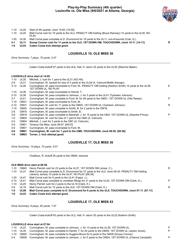# **Play-by-Play Summary (4th quarter) Louisville vs. Ole Miss (9/6/2021 at Atlanta, Georgia)**



|         | 1-10 UL20   | Start of 4th quarter, clock 15:00. [15:00]                                                                    |   |
|---------|-------------|---------------------------------------------------------------------------------------------------------------|---|
| 1-10    | UL20        | Matt Corral rush for 18 yards to the UL2, PENALTY OM holding (Bryce Ramsey) 10 yards to the UL30, NO<br>PLAY. |   |
| 1-20    | UL30        | Matt Corral pass complete to D. Drummond for 19 yards to the UL11, out-of-bounds (Cole, Q.).                  |   |
| $2 - 1$ | <b>UL11</b> | Snoop Conner rush for 11 yards to the UL0, 1ST DOWN OM, TOUCHDOWN, clock 14:11. [14:11]                       | R |
| $1-0$   | UL03        | Caden Costa kick attempt good.                                                                                |   |
|         |             |                                                                                                               |   |

# **LOUISVILLE 10, OLE MISS 36**

*Drive Summary: 7 plays, 75 yards, 2:47*

Caden Costa kickoff 57 yards to the UL8, Hall, H. return 22 yards to the UL30 (Zikerrion Baker).

#### **LOUISVILLE drive start at 14:05.**

| $1 - 10$ | UL30             | Mitchell, J. rush for 1 yard to the UL31 (KD Hill).                                                                           |    |
|----------|------------------|-------------------------------------------------------------------------------------------------------------------------------|----|
| $2-9$    | <b>UL31</b>      | Cunningham, M. sacked for loss of 3 yards to the UL28 (A. Cistrunk; MoMo Sanogo).                                             |    |
| $3 - 12$ | UL28             | Cunningham, M. pass incomplete to Ford, M., PENALTY OM holding (Keidron Smith) 10 yards to the UL38,<br>1ST DOWN UL, NO PLAY. | E. |
| $1 - 10$ | UL38             | Cunningham, M. pass incomplete to Harrell, T.                                                                                 |    |
| $2 - 10$ | UL38             | Cunningham, M. pass complete to Johnson, J. for 3 yards to the UL41 (Tysheem Johnson).                                        |    |
| $3 - 7$  | <b>UL41</b>      | Cunningham, M. pass complete to Ford, M. for 28 yards to the OM31, 1ST DOWN UL (Otis Reese).                                  | P  |
| $1 - 10$ | OM31             | Cunningham, M. pass incomplete to Ford, M                                                                                     |    |
| $2 - 10$ | OM31             | Cunningham, M. rush for 11 yards to the OM20, 1ST DOWN UL (Tysheem Johnson).                                                  | R  |
| $1 - 10$ | OM20             | Cunningham, M. pass complete to Smith, B. for 2 yards to the OM18.                                                            |    |
| $2 - 8$  | OM <sub>18</sub> | Cunningham, M. pass incomplete to Smith, B                                                                                    |    |
| $3 - 8$  | OM <sub>18</sub> | Cunningham, M. pass complete to Marshall, J. for 15 yards to the OM3, 1ST DOWN UL (Deantre Prince).                           | P  |
| 1-0      | OM <sub>03</sub> | Cunningham, M. rush for loss of 1 yard to the OM4 (A. Cistrunk).                                                              |    |
| $2 - 0$  | OM <sub>04</sub> | Mitchell, J. rush for 3 yards to the OM1 (A. Cistrunk).                                                                       |    |
| $3-0$    | OM01             | Timeout Ole Miss, clock 09:07, [09:07]                                                                                        |    |
| $3-0$    | OM01             | Cunningham, M. pass incomplete to Ford, M                                                                                     |    |
| 4-0      | OM <sub>01</sub> | Cunningham, M. rush for 1 yard to the OM0, TOUCHDOWN, clock 08:58. [08:58]                                                    |    |

**1-0 OM03 Turner, J. kick attempt good.**

# **LOUISVILLE 17, OLE MISS 36**

*Drive Summary: 14 plays, 70 yards, 5:07*

Chalifoux, R. kickoff 25 yards to the OM40, downed.

#### **OLE MISS drive start at 08:58.**

| 1-10     | OM40        | Henry Parrish rush for 23 yards to the UL37, 1ST DOWN OM (Jones, C.).                                                                                      | R |
|----------|-------------|------------------------------------------------------------------------------------------------------------------------------------------------------------|---|
| $1 - 10$ | UL37        | Matt Corral pass complete to D. Drummond for 37 yards to the UL0, clock 08:34, PENALTY OM holding<br>(Jeremy James) 10 yards to the UL47, NO PLAY. [08:34] |   |
| 1-20     | UL47        | Matt Corral rush for 6 yards to the UL41 (Fagot, J.).                                                                                                      |   |
| $2 - 14$ | <b>UL41</b> | Matt Corral pass complete to Jonathan Mingo for 21 yards to the UL20, 1ST DOWN OM (Clark, K.).                                                             | P |
| 1-10     | UL20        | Henry Parrish rush for 2 yards to the UL18 (Clark, K.).                                                                                                    |   |
| $2 - 8$  | <b>UL18</b> | Matt Corral rush for 12 yards to the UL6, 1ST DOWN OM (Clark, K.).                                                                                         | R |
| 1-0      | <b>UL06</b> | Matt Corral pass complete to D. Drummond for 6 yards to the UL0, TOUCHDOWN, clock 07:11. [07:11]                                                           |   |
| 1-0      | <b>UL03</b> | Caden Costa kick attempt good.                                                                                                                             |   |

# **LOUISVILLE 17, OLE MISS 43**

*Drive Summary: 6 plays, 60 yards, 1:47*

Caden Costa kickoff 63 yards to the UL2, Hall, H. return 20 yards to the UL22 (Keidron Smith).

#### **LOUISVILLE drive start at 07:04.**

|         | 1-10 UL22 Cunningham, M. pass complete to Johnson, J. for 13 yards to the UL35, 1ST DOWN UL.                | P |
|---------|-------------------------------------------------------------------------------------------------------------|---|
|         | 1-10 UL35 Cunningham, M. pass complete to Harrell, T. for 20 yards to the OM45, 1ST DOWN UL (Jaylon Jones). | P |
|         | 1-10 OM45 Cunningham, M. pass complete to Huggins-Bruce for 6 yards to the OM39 (Snoop Conner).             |   |
| $2 - 4$ | OM39 Cunningham, M. pass complete to Johnson, J. for 5 yards to the OM34, 1ST DOWN UL (Chance Campbell).    | D |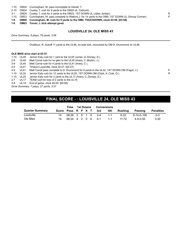- 1-10 OM34 Cunningham, M. pass incomplete to Harrell, T..
- 2-10 OM34 Cooley, T. rush for 9 yards to the OM25 (A. Cistrunk).
- 3-1 OM25 Cooley, T. rush for 2 yards to the OM23, 1ST DOWN UL (Jalen Jordan).
- 1-10 OM23 Cunningham, M. pass complete to Watkins,J. for 14 yards to the OM9, 1ST DOWN UL (Snoop Conner). P
- **1-0 OM09 Cunningham, M. rush for 9 yards to the OM0, TOUCHDOWN, clock 03:58. [03:58]**
- **1-0 OM03 Turner, J. kick attempt good.**

#### **LOUISVILLE 24, OLE MISS 43**

*Drive Summary: 9 plays, 78 yards, 3:06*

Chalifoux, R. kickoff 11 yards to the UL46, on-side kick, recovered by OM D. Drummond on UL46.

#### **OLE MISS drive start at 03:57.**

1-10 UL46 Jerrion Ealy rush for 1 yard to the UL45 (Jones, D.;Dorsey, D.).

- 2-9 UL45 Matt Corral rush for no gain to the UL45 (Avery, C.;Boykin, J.).
- 3-9 UL45 Matt Corral rush for 4 yards to the UL41 (Avery, C.).

4-5 UL41 Timeout Louisville, clock 02:27. [02:27]

- 4-5 UL41 Matt Corral pass complete to D. Drummond for 9 yards to the UL32, 1ST DOWN OM (Fagot, J.). P
- 1-10 UL32 Jerrion Ealy rush for 12 yards to the UL20, 1ST DOWN OM (Clark, K.;Cole, Q.). R
- 1-10 UL20 Jerrion Ealy rush for 3 yards to the UL17 (Avery, C.;Dorsey, D.).

2-7 UL17 TEAM rush for loss of 2 yards to the UL19.

3-9 UL19 End of game, clock 00:00. [00:00]

*Drive Summary: 7 plays, 27 yards, 3:57*

# **FINAL SCORE - : LOUISVILLE 24, OLE MISS 43**

|                        |                    | Time                | 1st Downs |  | Conversions |     |         |          |                  |                  |
|------------------------|--------------------|---------------------|-----------|--|-------------|-----|---------|----------|------------------|------------------|
| <b>Quarter Summary</b> | Score Poss R P X T |                     |           |  |             | 3rd | 4th     | Rushing  | Passing          | <b>Penalties</b> |
| Louisville             | 14                 | 08:26 2 6 1 9 3-4   |           |  |             |     | $1 - 1$ | $9 - 32$ | 9-14-0-106       | $0 - 0$          |
| Ole Miss               | 14                 | $06:34$ 4 2 0 6 0-1 |           |  |             |     | $1 - 1$ | 11-72    | $4 - 4 - 0 - 55$ | 3-30             |